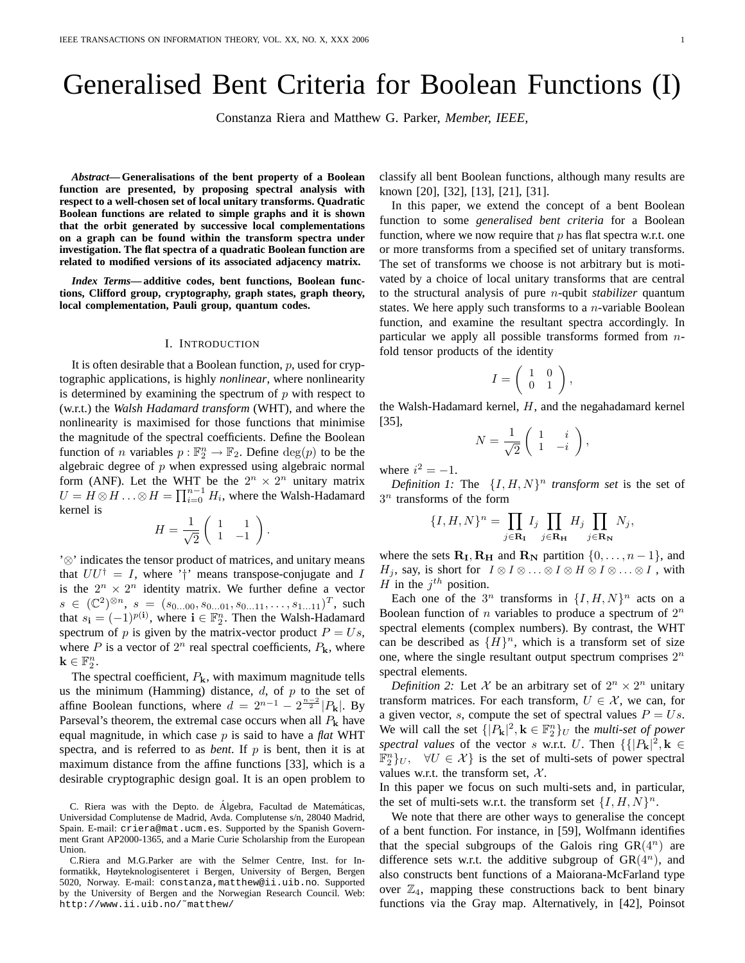# Generalised Bent Criteria for Boolean Functions (I)

Constanza Riera and Matthew G. Parker, *Member, IEEE,*

*Abstract***— Generalisations of the bent property of a Boolean function are presented, by proposing spectral analysis with respect to a well-chosen set of local unitary transforms. Quadratic Boolean functions are related to simple graphs and it is shown that the orbit generated by successive local complementations on a graph can be found within the transform spectra under investigation. The flat spectra of a quadratic Boolean function are related to modified versions of its associated adjacency matrix.**

*Index Terms***— additive codes, bent functions, Boolean functions, Clifford group, cryptography, graph states, graph theory, local complementation, Pauli group, quantum codes.**

#### I. INTRODUCTION

It is often desirable that a Boolean function,  $p$ , used for cryptographic applications, is highly *nonlinear*, where nonlinearity is determined by examining the spectrum of  $p$  with respect to (w.r.t.) the *Walsh Hadamard transform* (WHT), and where the nonlinearity is maximised for those functions that minimise the magnitude of the spectral coefficients. Define the Boolean function of *n* variables  $p : \mathbb{F}_2^n \to \mathbb{F}_2$ . Define  $\deg(p)$  to be the algebraic degree of  $p$  when expressed using algebraic normal form (ANF). Let the WHT be the  $2^n \times 2^n$  unitary matrix  $U = H \otimes H \ldots \otimes H = \prod_{i=0}^{n-1} H_i$ , where the Walsh-Hadamard kernel is

$$
H = \frac{1}{\sqrt{2}} \left( \begin{array}{cc} 1 & 1 \\ 1 & -1 \end{array} \right).
$$

'⊗' indicates the tensor product of matrices, and unitary means that  $UU^{\dagger} = I$ , where '†' means transpose-conjugate and I is the  $2^n \times 2^n$  identity matrix. We further define a vector  $s \in (\mathbb{C}^2)^{\otimes n}, s = (s_{0...00}, s_{0...01}, s_{0...11}, \ldots, s_{1...11})^T$ , such that  $s_i = (-1)^{p(i)}$ , where  $i \in \mathbb{F}_2^n$ . Then the Walsh-Hadamard spectrum of p is given by the matrix-vector product  $P = Us$ , where  $P$  is a vector of  $2^n$  real spectral coefficients,  $P_k$ , where  $\mathbf{k} \in \mathbb{F}_2^n$ .

The spectral coefficient,  $P_k$ , with maximum magnitude tells us the minimum (Hamming) distance,  $d$ , of  $p$  to the set of affine Boolean functions, where  $d = 2^{n-1} - 2^{\frac{n-2}{2}} |P_{k}|$ . By Parseval's theorem, the extremal case occurs when all  $P_k$  have equal magnitude, in which case p is said to have a *flat* WHT spectra, and is referred to as *bent*. If  $p$  is bent, then it is at maximum distance from the affine functions [33], which is a desirable cryptographic design goal. It is an open problem to classify all bent Boolean functions, although many results are known [20], [32], [13], [21], [31].

In this paper, we extend the concept of a bent Boolean function to some *generalised bent criteria* for a Boolean function, where we now require that  $p$  has flat spectra w.r.t. one or more transforms from a specified set of unitary transforms. The set of transforms we choose is not arbitrary but is motivated by a choice of local unitary transforms that are central to the structural analysis of pure n-qubit *stabilizer* quantum states. We here apply such transforms to a  $n$ -variable Boolean function, and examine the resultant spectra accordingly. In particular we apply all possible transforms formed from nfold tensor products of the identity

$$
I = \left( \begin{array}{cc} 1 & 0 \\ 0 & 1 \end{array} \right),
$$

the Walsh-Hadamard kernel, H, and the negahadamard kernel [35],

$$
N = \frac{1}{\sqrt{2}} \begin{pmatrix} 1 & i \\ 1 & -i \end{pmatrix}
$$

,

where  $i^2 = -1$ .

*Definition 1:* The  $\{I, H, N\}^n$  *transform set* is the set of  $3^n$  transforms of the form

$$
\{I, H, N\}^n = \prod_{j \in \mathbf{R_I}} I_j \prod_{j \in \mathbf{R_H}} H_j \prod_{j \in \mathbf{R_N}} N_j,
$$

where the sets  $\mathbf{R}_{\text{I}}, \mathbf{R}_{\text{H}}$  and  $\mathbf{R}_{\text{N}}$  partition  $\{0, \ldots, n-1\}$ , and  $H_i$ , say, is short for  $I \otimes I \otimes \ldots \otimes I \otimes H \otimes I \otimes \ldots \otimes I$ , with H in the  $j^{th}$  position.

Each one of the  $3^n$  transforms in  $\{I, H, N\}^n$  acts on a Boolean function of *n* variables to produce a spectrum of  $2^n$ spectral elements (complex numbers). By contrast, the WHT can be described as  $\{H\}^n$ , which is a transform set of size one, where the single resultant output spectrum comprises  $2^n$ spectral elements.

*Definition 2:* Let X be an arbitrary set of  $2^n \times 2^n$  unitary transform matrices. For each transform,  $U \in \mathcal{X}$ , we can, for a given vector, s, compute the set of spectral values  $P = Us$ . We will call the set  $\{ |P_{k}|^{2}, k \in \mathbb{F}_{2}^{n} \}$  the *multi-set of power* spectral values of the vector s w.r.t. U. Then  $\{ |P_{k}|^{2}, k \in$  $\mathbb{F}_2^n$ ,  $\forall U \in \mathcal{X}$  is the set of multi-sets of power spectral values w.r.t. the transform set,  $\mathcal{X}$ .

In this paper we focus on such multi-sets and, in particular, the set of multi-sets w.r.t. the transform set  $\{I, H, N\}^n$ .

We note that there are other ways to generalise the concept of a bent function. For instance, in [59], Wolfmann identifies that the special subgroups of the Galois ring  $GR(4^n)$  are difference sets w.r.t. the additive subgroup of  $GR(4^n)$ , and also constructs bent functions of a Maiorana-McFarland type over  $\mathbb{Z}_4$ , mapping these constructions back to bent binary functions via the Gray map. Alternatively, in [42], Poinsot

C. Riera was with the Depto. de Álgebra, Facultad de Matemáticas, Universidad Complutense de Madrid, Avda. Complutense s/n, 28040 Madrid, Spain. E-mail: criera@mat.ucm.es. Supported by the Spanish Government Grant AP2000-1365, and a Marie Curie Scholarship from the European Union.

C.Riera and M.G.Parker are with the Selmer Centre, Inst. for Informatikk, Høyteknologisenteret i Bergen, University of Bergen, Bergen 5020, Norway. E-mail: constanza,matthew@ii.uib.no. Supported by the University of Bergen and the Norwegian Research Council. Web: http://www.ii.uib.no/˜matthew/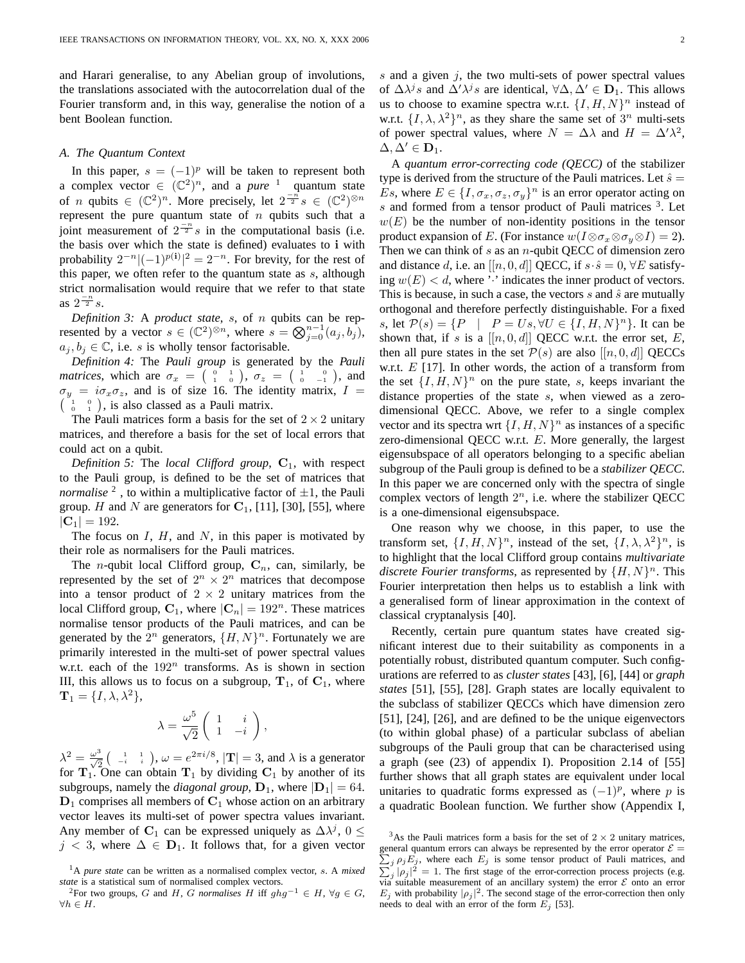and Harari generalise, to any Abelian group of involutions, the translations associated with the autocorrelation dual of the Fourier transform and, in this way, generalise the notion of a bent Boolean function.

### *A. The Quantum Context*

In this paper,  $s = (-1)^p$  will be taken to represent both a complex vector  $\in$   $(\mathbb{C}^2)^n$ , and a *pure* <sup>1</sup> quantum state of *n* qubits  $\in$   $(\mathbb{C}^2)^n$ . More precisely, let  $2^{-n/2} s \in (\mathbb{C}^2)^{\otimes n}$ represent the pure quantum state of  $n$  qubits such that a joint measurement of  $2^{\frac{-n}{2}}s$  in the computational basis (i.e. the basis over which the state is defined) evaluates to i with probability  $2^{-n}|(-1)^{p(i)}|^2 = 2^{-n}$ . For brevity, for the rest of this paper, we often refer to the quantum state as  $s$ , although strict normalisation would require that we refer to that state as  $2^{\frac{-n}{2}}s$ .

*Definition 3:* A *product state*, s, of n qubits can be represented by a vector  $s \in (\mathbb{C}^2)^{\otimes n}$ , where  $s = \bigotimes_{j=0}^{n-1} (a_j, b_j)$ ,  $a_j, b_j \in \mathbb{C}$ , i.e. s is wholly tensor factorisable.

*Definition 4:* The *Pauli group* is generated by the *Pauli matrices*, which are  $\sigma_x = \begin{pmatrix} 0 & 1 \\ 1 & 0 \end{pmatrix}$ ,  $\sigma_z = \begin{pmatrix} 1 & 0 \\ 0 & -1 \end{pmatrix}$ , and  $\sigma_y = i\sigma_x \sigma_z$ , and is of size 16. The identity matrix,  $I =$  $\begin{pmatrix} 1 & 0 \\ 0 & 1 \end{pmatrix}$ , is also classed as a Pauli matrix.

The Pauli matrices form a basis for the set of  $2 \times 2$  unitary matrices, and therefore a basis for the set of local errors that could act on a qubit.

*Definition 5:* The *local Clifford group*,  $C_1$ , with respect to the Pauli group, is defined to be the set of matrices that *normalise*  $^2$ , to within a multiplicative factor of  $\pm 1$ , the Pauli group. H and N are generators for  $C_1$ , [11], [30], [55], where  $|C_1| = 192.$ 

The focus on  $I$ ,  $H$ , and  $N$ , in this paper is motivated by their role as normalisers for the Pauli matrices.

The *n*-qubit local Clifford group,  $C_n$ , can, similarly, be represented by the set of  $2^n \times 2^n$  matrices that decompose into a tensor product of  $2 \times 2$  unitary matrices from the local Clifford group,  $C_1$ , where  $|C_n| = 192^n$ . These matrices normalise tensor products of the Pauli matrices, and can be generated by the  $2^n$  generators,  $\{H, N\}^n$ . Fortunately we are primarily interested in the multi-set of power spectral values w.r.t. each of the  $192^n$  transforms. As is shown in section III, this allows us to focus on a subgroup,  $T_1$ , of  $C_1$ , where  $\mathbf{T}_1 = \{I, \lambda, \lambda^2\},\$ 

$$
\lambda = \frac{\omega^5}{\sqrt{2}} \left( \begin{array}{cc} 1 & i \\ 1 & -i \end{array} \right),
$$

 $\lambda^2 = \frac{\omega^3}{\sqrt{2}} \left( \begin{array}{cc} 1 & 1 \\ -i & i \end{array} \right)$ ,  $\omega = e^{2\pi i/8}$ ,  $|\mathbf{T}| = 3$ , and  $\lambda$  is a generator for  $T_1$ . One can obtain  $T_1$  by dividing  $C_1$  by another of its subgroups, namely the *diagonal group*,  $D_1$ , where  $|D_1| = 64$ .  $D_1$  comprises all members of  $C_1$  whose action on an arbitrary vector leaves its multi-set of power spectra values invariant. Any member of C<sub>1</sub> can be expressed uniquely as  $\Delta \lambda^{j}$ , 0  $\leq$  $j \leq 3$ , where  $\Delta \in \mathbf{D}_1$ . It follows that, for a given vector s and a given  $i$ , the two multi-sets of power spectral values of  $\Delta \lambda^{j} s$  and  $\Delta' \lambda^{j} s$  are identical,  $\forall \Delta, \Delta' \in \mathbf{D}_1$ . This allows us to choose to examine spectra w.r.t.  $\{I, H, N\}^n$  instead of w.r.t.  $\{I, \lambda, \lambda^2\}^n$ , as they share the same set of  $3^n$  multi-sets of power spectral values, where  $N = \Delta \lambda$  and  $H = \Delta' \lambda^2$ ,  $\Delta, \Delta' \in \mathbf{D}_1.$ 

A *quantum error-correcting code (QECC)* of the stabilizer type is derived from the structure of the Pauli matrices. Let  $\hat{s} =$ Es, where  $E \in \{I, \sigma_x, \sigma_z, \sigma_y\}^n$  is an error operator acting on  $s$  and formed from a tensor product of Pauli matrices  $3$ . Let  $w(E)$  be the number of non-identity positions in the tensor product expansion of E. (For instance  $w(I \otimes \sigma_x \otimes \sigma_y \otimes I) = 2$ ). Then we can think of  $s$  as an  $n$ -qubit QECC of dimension zero and distance d, i.e. an  $[[n, 0, d]]$  QECC, if  $s \cdot \hat{s} = 0$ ,  $\forall E$  satisfying  $w(E) < d$ , where ':' indicates the inner product of vectors. This is because, in such a case, the vectors  $s$  and  $\hat{s}$  are mutually orthogonal and therefore perfectly distinguishable. For a fixed s, let  $P(s) = \{P \mid P = Us, \forall U \in \{I, H, N\}^n\}$ . It can be shown that, if s is a  $[[n, 0, d]]$  QECC w.r.t. the error set, E, then all pure states in the set  $P(s)$  are also  $[[n, 0, d]]$  QECCs w.r.t.  $E$  [17]. In other words, the action of a transform from the set  $\{I, H, N\}^n$  on the pure state, s, keeps invariant the distance properties of the state s, when viewed as a zerodimensional QECC. Above, we refer to a single complex vector and its spectra wrt  $\{I, H, N\}^n$  as instances of a specific zero-dimensional QECC w.r.t. E. More generally, the largest eigensubspace of all operators belonging to a specific abelian subgroup of the Pauli group is defined to be a *stabilizer QECC*. In this paper we are concerned only with the spectra of single complex vectors of length  $2<sup>n</sup>$ , i.e. where the stabilizer QECC is a one-dimensional eigensubspace.

One reason why we choose, in this paper, to use the transform set,  $\{I, H, N\}^n$ , instead of the set,  $\{I, \lambda, \lambda^2\}^n$ , is to highlight that the local Clifford group contains *multivariate* discrete Fourier transforms, as represented by  $\{H, N\}^n$ . This Fourier interpretation then helps us to establish a link with a generalised form of linear approximation in the context of classical cryptanalysis [40].

Recently, certain pure quantum states have created significant interest due to their suitability as components in a potentially robust, distributed quantum computer. Such configurations are referred to as *cluster states* [43], [6], [44] or *graph states* [51], [55], [28]. Graph states are locally equivalent to the subclass of stabilizer QECCs which have dimension zero [51], [24], [26], and are defined to be the unique eigenvectors (to within global phase) of a particular subclass of abelian subgroups of the Pauli group that can be characterised using a graph (see (23) of appendix I). Proposition 2.14 of [55] further shows that all graph states are equivalent under local unitaries to quadratic forms expressed as  $(-1)^p$ , where p is a quadratic Boolean function. We further show (Appendix I,

<sup>1</sup>A *pure state* can be written as a normalised complex vector, s. A *mixed state* is a statistical sum of normalised complex vectors.

<sup>&</sup>lt;sup>2</sup>For two groups, G and H, G normalises H iff  $ghg^{-1} \in H$ ,  $\forall g \in G$ ,  $\forall h \in H$ .

<sup>&</sup>lt;sup>3</sup>As the Pauli matrices form a basis for the set of  $2 \times 2$  unitary matrices, general quantum errors can always be represented by the error operator  $\mathcal{E} =$  $\sum_{j}$  $\rho_j E_j$ , where each  $E_j$  is some tensor product of Pauli matrices, and  $j |\rho_j|^2 = 1$ . The first stage of the error-correction process projects (e.g. via suitable measurement of an ancillary system) the error  $\mathcal E$  onto an error  $E_j$  with probability  $|\rho_j|^2$ . The second stage of the error-correction then only needs to deal with an error of the form  $E_i$  [53].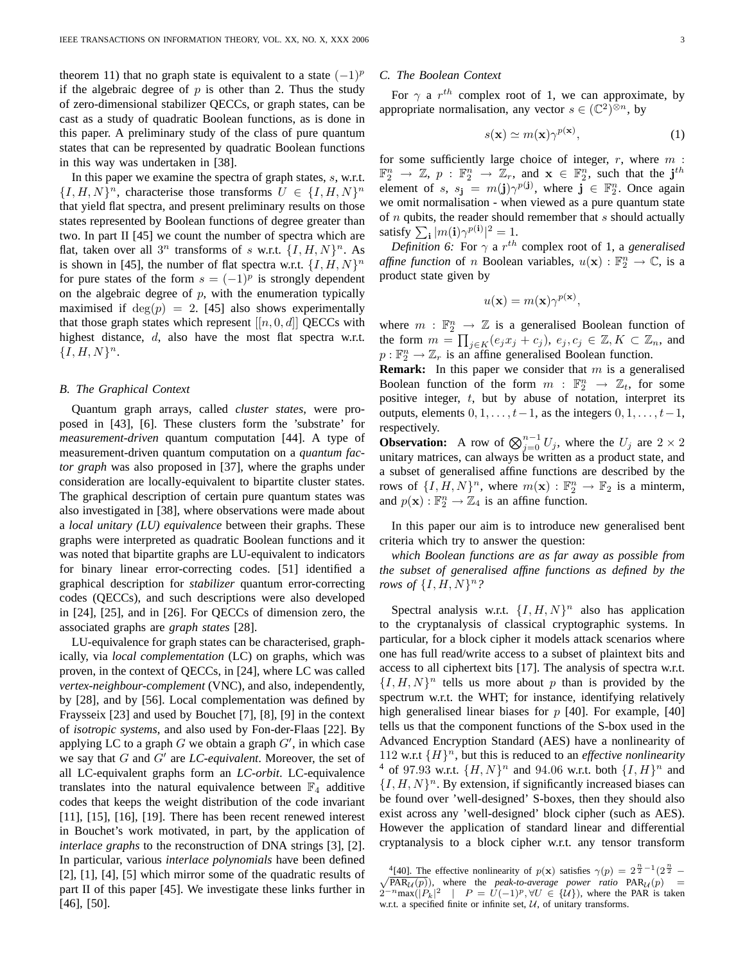theorem 11) that no graph state is equivalent to a state  $(-1)^p$ if the algebraic degree of  $p$  is other than 2. Thus the study of zero-dimensional stabilizer QECCs, or graph states, can be cast as a study of quadratic Boolean functions, as is done in this paper. A preliminary study of the class of pure quantum states that can be represented by quadratic Boolean functions in this way was undertaken in [38].

In this paper we examine the spectra of graph states, s, w.r.t.  ${I, H, N}^n$ , characterise those transforms  $U \in {I, H, N}^n$ that yield flat spectra, and present preliminary results on those states represented by Boolean functions of degree greater than two. In part II [45] we count the number of spectra which are flat, taken over all  $3^n$  transforms of s w.r.t.  $\{I, H, N\}^n$ . As is shown in [45], the number of flat spectra w.r.t.  $\{I, H, N\}^n$ for pure states of the form  $s = (-1)^p$  is strongly dependent on the algebraic degree of  $p$ , with the enumeration typically maximised if  $deg(p) = 2$ . [45] also shows experimentally that those graph states which represent  $[[n, 0, d]]$  QECCs with highest distance, d, also have the most flat spectra w.r.t.  ${I, H, N}^n$ .

### *B. The Graphical Context*

Quantum graph arrays, called *cluster states*, were proposed in [43], [6]. These clusters form the 'substrate' for *measurement-driven* quantum computation [44]. A type of measurement-driven quantum computation on a *quantum factor graph* was also proposed in [37], where the graphs under consideration are locally-equivalent to bipartite cluster states. The graphical description of certain pure quantum states was also investigated in [38], where observations were made about a *local unitary (LU) equivalence* between their graphs. These graphs were interpreted as quadratic Boolean functions and it was noted that bipartite graphs are LU-equivalent to indicators for binary linear error-correcting codes. [51] identified a graphical description for *stabilizer* quantum error-correcting codes (QECCs), and such descriptions were also developed in [24], [25], and in [26]. For QECCs of dimension zero, the associated graphs are *graph states* [28].

LU-equivalence for graph states can be characterised, graphically, via *local complementation* (LC) on graphs, which was proven, in the context of QECCs, in [24], where LC was called *vertex-neighbour-complement* (VNC), and also, independently, by [28], and by [56]. Local complementation was defined by Fraysseix [23] and used by Bouchet [7], [8], [9] in the context of *isotropic systems*, and also used by Fon-der-Flaas [22]. By applying LC to a graph  $G$  we obtain a graph  $G'$ , in which case we say that  $G$  and  $G'$  are  $LC$ -equivalent. Moreover, the set of all LC-equivalent graphs form an *LC-orbit*. LC-equivalence translates into the natural equivalence between  $\mathbb{F}_4$  additive codes that keeps the weight distribution of the code invariant [11], [15], [16], [19]. There has been recent renewed interest in Bouchet's work motivated, in part, by the application of *interlace graphs* to the reconstruction of DNA strings [3], [2]. In particular, various *interlace polynomials* have been defined [2], [1], [4], [5] which mirror some of the quadratic results of part II of this paper [45]. We investigate these links further in [46], [50].

### *C. The Boolean Context*

For  $\gamma$  a  $r^{th}$  complex root of 1, we can approximate, by appropriate normalisation, any vector  $s \in (\mathbb{C}^2)^{\otimes n}$ , by

$$
s(\mathbf{x}) \simeq m(\mathbf{x}) \gamma^{p(\mathbf{x})}, \tag{1}
$$

for some sufficiently large choice of integer,  $r$ , where  $m$ :  $\mathbb{F}_2^n \to \mathbb{Z}$ ,  $p : \mathbb{F}_2^n \to \mathbb{Z}_r$ , and  $\mathbf{x} \in \mathbb{F}_2^n$ , such that the j<sup>th</sup> element of s,  $s_j = m(j)\gamma^{p(j)}$ , where  $j \in \mathbb{F}_2^n$ . Once again we omit normalisation - when viewed as a pure quantum state of  $n$  qubits, the reader should remember that  $s$  should actually satisfy  $\sum_{\mathbf{i}} |m(\mathbf{i})\gamma^{p(\mathbf{i})}|^2 = 1$ .

*Definition 6:* For  $\gamma$  a  $r^{th}$  complex root of 1, a *generalised affine function* of *n* Boolean variables,  $u(\mathbf{x}) : \mathbb{F}_2^n \to \mathbb{C}$ , is a product state given by

$$
u(\mathbf{x}) = m(\mathbf{x})\gamma^{p(\mathbf{x})},
$$

where  $m : \mathbb{F}_2^n \to \mathbb{Z}$  is a generalised Boolean function of the form  $m = \prod_{j \in K} (e_j x_j + c_j)$ ,  $e_j, c_j \in \mathbb{Z}, K \subset \mathbb{Z}_n$ , and  $p: \mathbb{F}_2^n \to \mathbb{Z}_r$  is an affine generalised Boolean function.

**Remark:** In this paper we consider that m is a generalised Boolean function of the form  $m : \mathbb{F}_2^n \to \mathbb{Z}_t$ , for some positive integer,  $t$ , but by abuse of notation, interpret its outputs, elements  $0, 1, \ldots, t-1$ , as the integers  $0, 1, \ldots, t-1$ , respectively.

**Observation:** A row of  $\bigotimes_{j=0}^{n-1} U_j$ , where the  $U_j$  are  $2 \times 2$ unitary matrices, can always be written as a product state, and a subset of generalised affine functions are described by the rows of  $\{I, H, N\}^n$ , where  $m(\mathbf{x}) : \mathbb{F}_2^n \to \mathbb{F}_2$  is a minterm, and  $p(\mathbf{x}) : \mathbb{F}_2^n \to \mathbb{Z}_4$  is an affine function.

In this paper our aim is to introduce new generalised bent criteria which try to answer the question:

*which Boolean functions are as far away as possible from the subset of generalised affine functions as defined by the rows of*  $\{I, H, N\}^n$ ?

Spectral analysis w.r.t.  $\{I, H, N\}^n$  also has application to the cryptanalysis of classical cryptographic systems. In particular, for a block cipher it models attack scenarios where one has full read/write access to a subset of plaintext bits and access to all ciphertext bits [17]. The analysis of spectra w.r.t.  $\{I, H, N\}^n$  tells us more about p than is provided by the spectrum w.r.t. the WHT; for instance, identifying relatively high generalised linear biases for  $p$  [40]. For example, [40] tells us that the component functions of the S-box used in the Advanced Encryption Standard (AES) have a nonlinearity of 112 w.r.t  $\{H\}$ <sup>n</sup>, but this is reduced to an *effective nonlinearity* <sup>4</sup> of 97.93 w.r.t.  $\{H, N\}^n$  and 94.06 w.r.t. both  $\{I, H\}^n$  and  $\{I, H, N\}^n$ . By extension, if significantly increased biases can be found over 'well-designed' S-boxes, then they should also exist across any 'well-designed' block cipher (such as AES). However the application of standard linear and differential cryptanalysis to a block cipher w.r.t. any tensor transform

<sup>&</sup>lt;sup>4</sup>[40]. The effective nonlinearity of  $p(\mathbf{x})$  satisfies  $\gamma(p) = 2^{\frac{n}{2}-1} (2^{\frac{n}{2}} - \sqrt{PAR_{1}(p)})$ , where the *peak-to-average power ratio*  $PAR_{1}(p) =$  $\sqrt{PAR_{\mathcal{U}}(p)}$ , where the *peak-to-average power ratio*  $PAR_{\mathcal{U}}(p) = 2^{-n} \max(|P_k|^2 | P = U(-1)^p, \forall U \in \{\mathcal{U}\}\)$ , where the PAR is taken w.r.t. a specified finite or infinite set,  $U$ , of unitary transforms.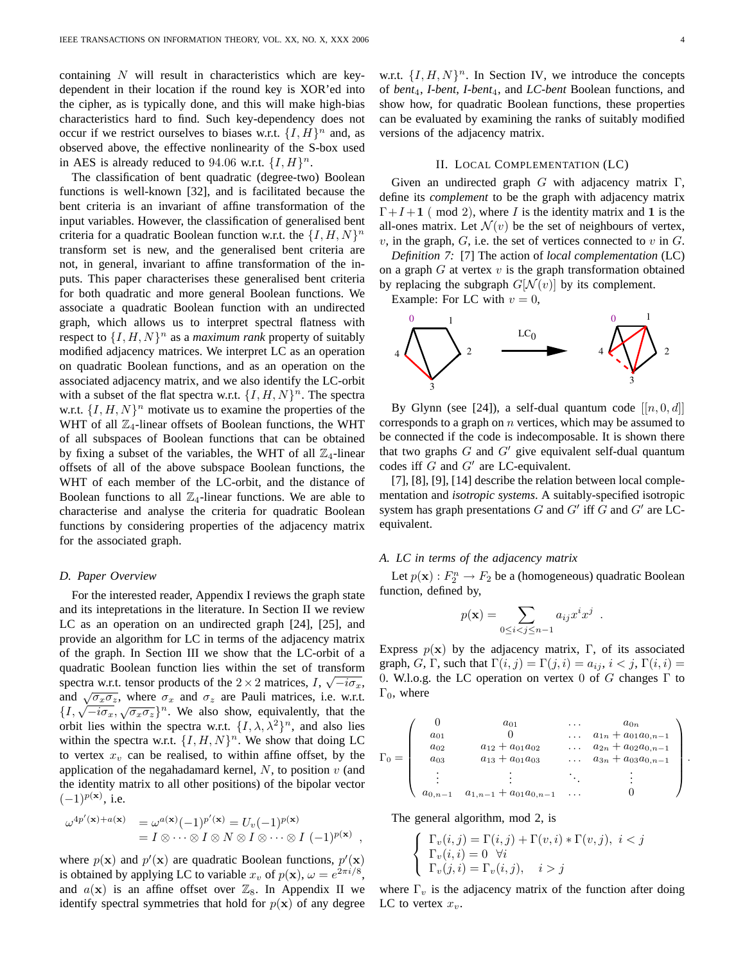containing  $N$  will result in characteristics which are keydependent in their location if the round key is XOR'ed into the cipher, as is typically done, and this will make high-bias characteristics hard to find. Such key-dependency does not occur if we restrict ourselves to biases w.r.t.  $\{I, H\}^n$  and, as observed above, the effective nonlinearity of the S-box used in AES is already reduced to 94.06 w.r.t.  $\{I, H\}^n$ .

The classification of bent quadratic (degree-two) Boolean functions is well-known [32], and is facilitated because the bent criteria is an invariant of affine transformation of the input variables. However, the classification of generalised bent criteria for a quadratic Boolean function w.r.t. the  $\{I, H, N\}^n$ transform set is new, and the generalised bent criteria are not, in general, invariant to affine transformation of the inputs. This paper characterises these generalised bent criteria for both quadratic and more general Boolean functions. We associate a quadratic Boolean function with an undirected graph, which allows us to interpret spectral flatness with respect to  $\{I, H, N\}^n$  as a *maximum rank* property of suitably modified adjacency matrices. We interpret LC as an operation on quadratic Boolean functions, and as an operation on the associated adjacency matrix, and we also identify the LC-orbit with a subset of the flat spectra w.r.t.  $\{I, H, N\}^n$ . The spectra w.r.t.  $\{I, H, N\}^n$  motivate us to examine the properties of the WHT of all  $\mathbb{Z}_4$ -linear offsets of Boolean functions, the WHT of all subspaces of Boolean functions that can be obtained by fixing a subset of the variables, the WHT of all  $\mathbb{Z}_4$ -linear offsets of all of the above subspace Boolean functions, the WHT of each member of the LC-orbit, and the distance of Boolean functions to all  $\mathbb{Z}_4$ -linear functions. We are able to characterise and analyse the criteria for quadratic Boolean functions by considering properties of the adjacency matrix for the associated graph.

#### *D. Paper Overview*

For the interested reader, Appendix I reviews the graph state and its intepretations in the literature. In Section II we review LC as an operation on an undirected graph [24], [25], and provide an algorithm for LC in terms of the adjacency matrix of the graph. In Section III we show that the LC-orbit of a quadratic Boolean function lies within the set of transform spectra w.r.t. tensor products of the 2  $\times$  2 matrices, I,  $\sqrt{-i\sigma_x}$ , and  $\sqrt{\sigma_x \sigma_z}$ , where  $\sigma_x$  and  $\sigma_z$  are Pauli matrices, i.e. w.r.t. and  $\sqrt{\sigma_x \sigma_z}$ , where  $\sigma_x$  and  $\sigma_z$  are raun matrices, i.e. w.r.t.<br> $\{I, \sqrt{-i\sigma_x}, \sqrt{\sigma_x \sigma_z}\}^n$ . We also show, equivalently, that the orbit lies within the spectra w.r.t.  $\{I, \lambda, \lambda^2\}^n$ , and also lies within the spectra w.r.t.  $\{I, H, N\}^n$ . We show that doing LC to vertex  $x_v$  can be realised, to within affine offset, by the application of the negahadamard kernel,  $N$ , to position  $v$  (and the identity matrix to all other positions) of the bipolar vector  $(-1)^{p(x)}$ , i.e.

$$
\omega^{4p'(\mathbf{x})+a(\mathbf{x})} = \omega^{a(\mathbf{x})}(-1)^{p'(\mathbf{x})} = U_v(-1)^{p(\mathbf{x})}
$$
  
=  $I \otimes \cdots \otimes I \otimes N \otimes I \otimes \cdots \otimes I (-1)^{p(\mathbf{x})}$ 

where  $p(x)$  and  $p'(x)$  are quadratic Boolean functions,  $p'(x)$ is obtained by applying LC to variable  $x_v$  of  $p(\mathbf{x})$ ,  $\omega = e^{2\pi i/8}$ , and  $a(\mathbf{x})$  is an affine offset over  $\mathbb{Z}_8$ . In Appendix II we identify spectral symmetries that hold for  $p(x)$  of any degree

w.r.t.  $\{I, H, N\}^n$ . In Section IV, we introduce the concepts of *bent*4, *I-bent*, *I-bent*4, and *LC-bent* Boolean functions, and show how, for quadratic Boolean functions, these properties can be evaluated by examining the ranks of suitably modified versions of the adjacency matrix.

#### II. LOCAL COMPLEMENTATION (LC)

Given an undirected graph  $G$  with adjacency matrix  $\Gamma$ , define its *complement* to be the graph with adjacency matrix  $\Gamma + I + 1$  (mod 2), where I is the identity matrix and 1 is the all-ones matrix. Let  $\mathcal{N}(v)$  be the set of neighbours of vertex,  $v$ , in the graph,  $G$ , i.e. the set of vertices connected to  $v$  in  $G$ .

*Definition 7:* [7] The action of *local complementation* (LC) on a graph  $G$  at vertex  $v$  is the graph transformation obtained by replacing the subgraph  $G[N(v)]$  by its complement.

Example: For LC with  $v = 0$ ,



By Glynn (see [24]), a self-dual quantum code  $[[n, 0, d]]$ corresponds to a graph on  $n$  vertices, which may be assumed to be connected if the code is indecomposable. It is shown there that two graphs  $G$  and  $G'$  give equivalent self-dual quantum codes iff  $G$  and  $G'$  are LC-equivalent.

[7], [8], [9], [14] describe the relation between local complementation and *isotropic systems*. A suitably-specified isotropic system has graph presentations  $G$  and  $G'$  iff  $G$  and  $G'$  are LCequivalent.

### *A. LC in terms of the adjacency matrix*

Let  $p(\mathbf{x}) : F_2^n \to F_2$  be a (homogeneous) quadratic Boolean function, defined by,

$$
p(\mathbf{x}) = \sum_{0 \le i < j \le n-1} a_{ij} x^i x^j .
$$

Express  $p(x)$  by the adjacency matrix, Γ, of its associated graph, G, Γ, such that  $\Gamma(i, j) = \Gamma(j, i) = a_{ij}, i < j, \Gamma(i, i) = j$ 0. W.l.o.g. the LC operation on vertex 0 of G changes  $\Gamma$  to  $\Gamma_0$ , where

$$
\Gamma_0 = \left( \begin{array}{ccccc} 0 & a_{01} & \dots & a_{0n} \\ a_{01} & 0 & \dots & a_{1n} + a_{01}a_{0,n-1} \\ a_{02} & a_{12} + a_{01}a_{02} & \dots & a_{2n} + a_{02}a_{0,n-1} \\ a_{03} & a_{13} + a_{01}a_{03} & \dots & a_{3n} + a_{03}a_{0,n-1} \\ \vdots & \vdots & \ddots & \vdots \\ a_{0,n-1} & a_{1,n-1} + a_{01}a_{0,n-1} & \dots & 0 \end{array} \right)
$$

The general algorithm, mod 2, is

,

$$
\begin{cases} \Gamma_v(i,j) = \Gamma(i,j) + \Gamma(v,i) * \Gamma(v,j), \ i < j \\ \Gamma_v(i,i) = 0 \ \forall i \\ \Gamma_v(j,i) = \Gamma_v(i,j), \quad i > j \end{cases}
$$

where  $\Gamma_v$  is the adjacency matrix of the function after doing LC to vertex  $x_v$ .

.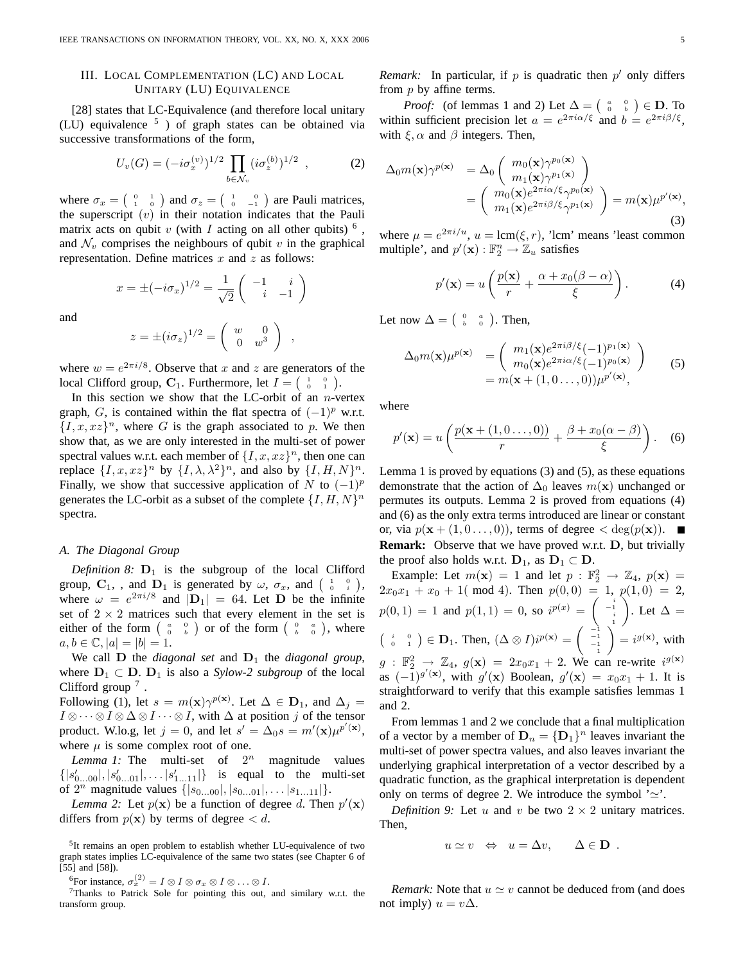### III. LOCAL COMPLEMENTATION (LC) AND LOCAL UNITARY (LU) EQUIVALENCE

[28] states that LC-Equivalence (and therefore local unitary (LU) equivalence  $5$  ) of graph states can be obtained via successive transformations of the form,

$$
U_v(G) = (-i\sigma_x^{(v)})^{1/2} \prod_{b \in \mathcal{N}_v} (i\sigma_z^{(b)})^{1/2} , \qquad (2)
$$

where  $\sigma_x = \begin{pmatrix} 0 & 1 \\ 1 & 0 \end{pmatrix}$  and  $\sigma_z = \begin{pmatrix} 1 & 0 \\ 0 & -1 \end{pmatrix}$  are Pauli matrices, the superscript  $(v)$  in their notation indicates that the Pauli matrix acts on qubit  $v$  (with  $I$  acting on all other qubits)  $\delta$ , and  $\mathcal{N}_v$  comprises the neighbours of qubit v in the graphical representation. Define matrices  $x$  and  $z$  as follows:

$$
x = \pm (-i\sigma_x)^{1/2} = \frac{1}{\sqrt{2}} \begin{pmatrix} -1 & i \\ i & -1 \end{pmatrix}
$$

and

$$
z = \pm (i\sigma_z)^{1/2} = \begin{pmatrix} w & 0 \\ 0 & w^3 \end{pmatrix} ,
$$

where  $w = e^{2\pi i/8}$ . Observe that x and z are generators of the local Clifford group,  $C_1$ . Furthermore, let  $I = \begin{pmatrix} 1 & 0 \\ 0 & 1 \end{pmatrix}$ .

In this section we show that the LC-orbit of an  $n$ -vertex graph, G, is contained within the flat spectra of  $(-1)^p$  w.r.t.  $\{I, x, xz\}$ <sup>n</sup>, where G is the graph associated to p. We then show that, as we are only interested in the multi-set of power spectral values w.r.t. each member of  $\{I, x, xz\}^n$ , then one can replace  $\{I, x, xz\}^n$  by  $\{I, \lambda, \lambda^2\}^n$ , and also by  $\{I, H, N\}^n$ . Finally, we show that successive application of N to  $(-1)^p$ generates the LC-orbit as a subset of the complete  $\{I, H, N\}^n$ spectra.

#### *A. The Diagonal Group*

*Definition 8:*  $D_1$  is the subgroup of the local Clifford group,  $C_1$ , , and  $D_1$  is generated by  $\omega$ ,  $\sigma_x$ , and  $\begin{pmatrix} 1 & 0 \\ 0 & i \end{pmatrix}$ , where  $\omega = e^{2\pi i/8}$  and  $|\mathbf{D}_1| = 64$ . Let **D** be the infinite set of  $2 \times 2$  matrices such that every element in the set is either of the form  $\begin{pmatrix} a & 0 \\ 0 & b \end{pmatrix}$  or of the form  $\begin{pmatrix} 0 & a \\ b & 0 \end{pmatrix}$ , where  $a, b \in \mathbb{C}, |a| = |b| = 1.$ 

We call  $D$  the *diagonal set* and  $D_1$  the *diagonal group*, where  $D_1 \subset D$ .  $D_1$  is also a *Sylow-2 subgroup* of the local Clifford group  $^7$ .

Following (1), let  $s = m(\mathbf{x})\gamma^{p(\mathbf{x})}$ . Let  $\Delta \in \mathbf{D}_1$ , and  $\Delta_j =$  $I \otimes \cdots \otimes I \otimes \Delta \otimes I \cdots \otimes I$ , with  $\Delta$  at position j of the tensor product. W.lo.g, let  $j = 0$ , and let  $s' = \Delta_0 s = m'(\mathbf{x})\mu^{p'(\mathbf{x})}$ , where  $\mu$  is some complex root of one.

*Lemma 1:* The multi-set of  $2^n$  magnitude values  $\{|s'_{0...00}|, |s'_{0...01}|, \ldots, |s'_{1...11}|\}$  is equal to the multi-set of  $2^n$  magnitude values  $\{|s_{0...00}|, |s_{0...01}|, \ldots |s_{1...11}|\}.$ 

*Lemma 2:* Let  $p(x)$  be a function of degree d. Then  $p'(x)$ differs from  $p(x)$  by terms of degree  $< d$ .

<sup>6</sup>For instance,  $\sigma_x^{(2)} = I \otimes I \otimes \sigma_x \otimes I \otimes \ldots \otimes I$ .

 $7$ Thanks to Patrick Sole for pointing this out, and similary w.r.t. the transform group.

*Remark:* In particular, if  $p$  is quadratic then  $p'$  only differs from  $p$  by affine terms.

*Proof:* (of lemmas 1 and 2) Let  $\Delta = \begin{pmatrix} a & 0 \\ 0 & b \end{pmatrix} \in \mathbf{D}$ . To within sufficient precision let  $a = e^{2\pi i \alpha/\xi}$  and  $b = e^{2\pi i \beta/\xi}$ , with  $\xi$ ,  $\alpha$  and  $\beta$  integers. Then,

$$
\Delta_0 m(\mathbf{x}) \gamma^{p(\mathbf{x})} = \Delta_0 \begin{pmatrix} m_0(\mathbf{x}) \gamma^{p_0(\mathbf{x})} \\ m_1(\mathbf{x}) \gamma^{p_1(\mathbf{x})} \end{pmatrix}
$$
  
= 
$$
\begin{pmatrix} m_0(\mathbf{x}) e^{2\pi i \alpha/\xi} \gamma^{p_0(\mathbf{x})} \\ m_1(\mathbf{x}) e^{2\pi i \beta/\xi} \gamma^{p_1(\mathbf{x})} \end{pmatrix} = m(\mathbf{x}) \mu^{p'(\mathbf{x})},
$$
(3)

where  $\mu = e^{2\pi i/u}$ ,  $u = \text{lcm}(\xi, r)$ , 'lcm' means 'least common multiple', and  $p'(\mathbf{x}) : \mathbb{F}_2^n \to \mathbb{Z}_u$  satisfies

$$
p'(\mathbf{x}) = u\left(\frac{p(\mathbf{x})}{r} + \frac{\alpha + x_0(\beta - \alpha)}{\xi}\right). \tag{4}
$$

Let now  $\Delta = \begin{pmatrix} 0 & a \\ b & 0 \end{pmatrix}$ . Then,

$$
\Delta_0 m(\mathbf{x}) \mu^{p(\mathbf{x})} = \begin{pmatrix} m_1(\mathbf{x}) e^{2\pi i \beta/\xi} (-1)^{p_1(\mathbf{x})} \\ m_0(\mathbf{x}) e^{2\pi i \alpha/\xi} (-1)^{p_0(\mathbf{x})} \end{pmatrix}
$$
  
=  $m(\mathbf{x} + (1, 0 \dots, 0)) \mu^{p'(\mathbf{x})},$  (5)

where

$$
p'(\mathbf{x}) = u\left(\frac{p(\mathbf{x} + (1,0\dots,0))}{r} + \frac{\beta + x_0(\alpha - \beta)}{\xi}\right). \quad (6)
$$

Lemma 1 is proved by equations (3) and (5), as these equations demonstrate that the action of  $\Delta_0$  leaves  $m(\mathbf{x})$  unchanged or permutes its outputs. Lemma 2 is proved from equations (4) and (6) as the only extra terms introduced are linear or constant or, via  $p(\mathbf{x} + (1, 0, \dots, 0))$ , terms of degree  $\langle \deg(p(\mathbf{x})) \rangle$ . **Remark:** Observe that we have proved w.r.t. D, but trivially the proof also holds w.r.t.  $D_1$ , as  $D_1 \subset D$ .

Example: Let  $m(\mathbf{x}) = 1$  and let  $p : \mathbb{F}_2^2 \to \mathbb{Z}_4$ ,  $p(\mathbf{x}) =$  $2x_0x_1 + x_0 + 1$  (mod 4). Then  $p(0,0) = 1$ ,  $p(1,0) = 2$ ,  $p(0,1) = 1$  and  $p(1,1) = 0$ , so  $i^{p(x)} = \begin{pmatrix} i & i \\ -1 & i \\ i & 1 \end{pmatrix}$ ). Let  $\Delta =$  $\begin{pmatrix} i & 0 \\ 0 & 1 \end{pmatrix} \in \mathbf{D}_1$ . Then,  $(\Delta \otimes I)i^{p(\mathbf{x})} = \begin{pmatrix} -i & -i & -1 \\ -1 & -1 & -1 \\ -1 & 1 & -1 \end{pmatrix}$  $= i^{g(\mathbf{x})}$ , with  $g : \mathbb{F}_2^2 \to \mathbb{Z}_4$ ,  $g(\mathbf{x}) = 2x_0x_1 + 2$ . We can re-write  $i^{g(\mathbf{x})}$ as  $(-1)^{g'(\mathbf{x})}$ , with  $g'(\mathbf{x})$  Boolean,  $g'(\mathbf{x}) = x_0x_1 + 1$ . It is straightforward to verify that this example satisfies lemmas 1 and 2.

From lemmas 1 and 2 we conclude that a final multiplication of a vector by a member of  $D_n = {D_1}^n$  leaves invariant the multi-set of power spectra values, and also leaves invariant the underlying graphical interpretation of a vector described by a quadratic function, as the graphical interpretation is dependent only on terms of degree 2. We introduce the symbol  $\infty$ .

*Definition 9:* Let u and v be two  $2 \times 2$  unitary matrices. Then,

$$
u \simeq v \Leftrightarrow u = \Delta v, \quad \Delta \in \mathbf{D}
$$
.

*Remark:* Note that  $u \simeq v$  cannot be deduced from (and does not imply)  $u = v\Delta$ .

<sup>&</sup>lt;sup>5</sup>It remains an open problem to establish whether LU-equivalence of two graph states implies LC-equivalence of the same two states (see Chapter 6 of [55] and [58]).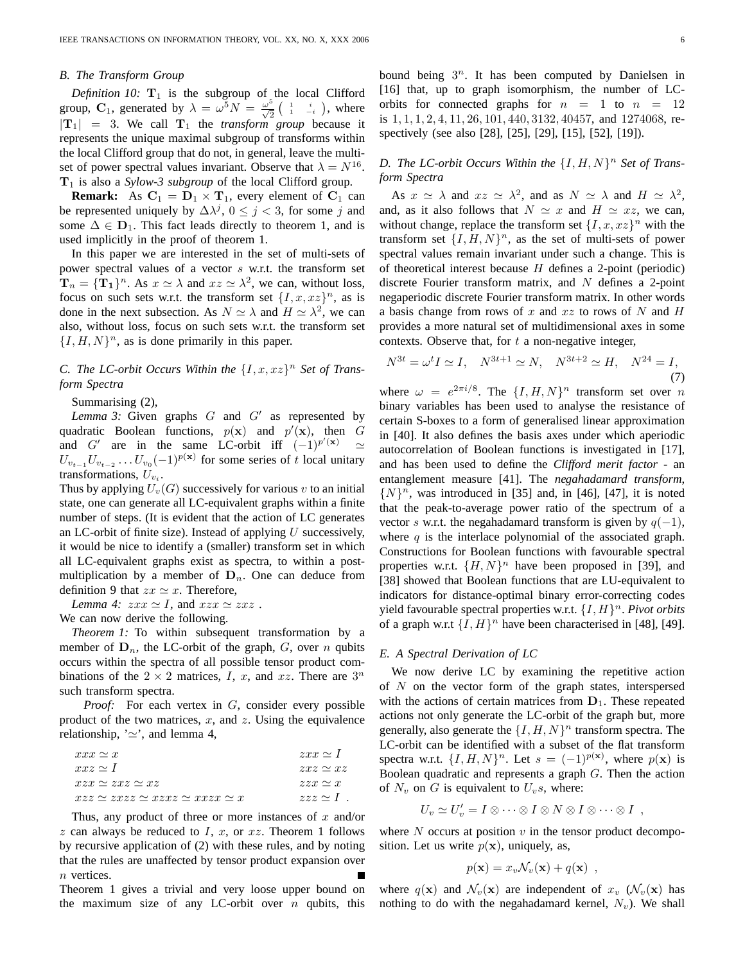#### *B. The Transform Group*

*Definition 10:*  $T_1$  is the subgroup of the local Clifford group, C<sub>1</sub>, generated by  $\lambda = \omega^5 N = \frac{\omega^5}{\sqrt{2}} \left( \begin{array}{cc} 1 & i \\ 1 & -i \end{array} \right)$ , where  $|T_1| = 3$ . We call  $T_1$  the *transform group* because it represents the unique maximal subgroup of transforms within the local Clifford group that do not, in general, leave the multiset of power spectral values invariant. Observe that  $\lambda = N^{16}$ .  $T_1$  is also a *Sylow-3 subgroup* of the local Clifford group.

**Remark:** As  $C_1 = D_1 \times T_1$ , every element of  $C_1$  can be represented uniquely by  $\Delta \lambda^{j}$ ,  $0 \leq j < 3$ , for some j and some  $\Delta \in \mathbf{D}_1$ . This fact leads directly to theorem 1, and is used implicitly in the proof of theorem 1.

In this paper we are interested in the set of multi-sets of power spectral values of a vector s w.r.t. the transform set  $\mathbf{T}_n = {\{\mathbf{T}_1\}}^n$ . As  $x \simeq \lambda$  and  $xz \simeq \lambda^2$ , we can, without loss, focus on such sets w.r.t. the transform set  $\{I, x, xz\}^n$ , as is done in the next subsection. As  $N \simeq \lambda$  and  $H \simeq \lambda^2$ , we can also, without loss, focus on such sets w.r.t. the transform set  $\{I, H, N\}$ <sup>n</sup>, as is done primarily in this paper.

# *C. The LC-orbit Occurs Within the*  $\{I, x, xz\}^n$  *Set of Transform Spectra*

Summarising (2),

Lemma 3: Given graphs  $G$  and  $G'$  as represented by quadratic Boolean functions,  $p(x)$  and  $p'(x)$ , then G and G' are in the same LC-orbit iff  $(-1)^{p'(\mathbf{x})} \simeq$  $U_{v_{t-1}}U_{v_{t-2}}\ldots U_{v_0}(-1)^{p(\mathbf{x})}$  for some series of t local unitary transformations,  $U_{v_i}$ .

Thus by applying  $U_v(G)$  successively for various v to an initial state, one can generate all LC-equivalent graphs within a finite number of steps. (It is evident that the action of LC generates an LC-orbit of finite size). Instead of applying  $U$  successively, it would be nice to identify a (smaller) transform set in which all LC-equivalent graphs exist as spectra, to within a postmultiplication by a member of  $D_n$ . One can deduce from definition 9 that  $zx \simeq x$ . Therefore,

*Lemma 4:*  $zxx \simeq I$ , and  $xzx \simeq zxz$ .

We can now derive the following.

*Theorem 1:* To within subsequent transformation by a member of  $\mathbf{D}_n$ , the LC-orbit of the graph, G, over n qubits occurs within the spectra of all possible tensor product combinations of the  $2 \times 2$  matrices, I, x, and xz. There are  $3^n$ such transform spectra.

*Proof:* For each vertex in G, consider every possible product of the two matrices,  $x$ , and  $z$ . Using the equivalence relationship,  $\sim$ , and lemma 4,

| $xxx \simeq x$                                     | $zxx \simeq 1$   |
|----------------------------------------------------|------------------|
| $xxz \sim 1$                                       | $zxz \simeq xz$  |
| $xzx \simeq zxz \simeq xz$                         | $zzx \simeq x$   |
| $xyz \simeq zxzz \simeq xzxz \simeq xxxx \simeq x$ | $zzz \simeq 1$ . |

Thus, any product of three or more instances of  $x$  and/or  $z$  can always be reduced to  $I, x$ , or  $xz$ . Theorem 1 follows by recursive application of (2) with these rules, and by noting that the rules are unaffected by tensor product expansion over n vertices.

Theorem 1 gives a trivial and very loose upper bound on the maximum size of any LC-orbit over  $n$  qubits, this

bound being  $3^n$ . It has been computed by Danielsen in [16] that, up to graph isomorphism, the number of LCorbits for connected graphs for  $n = 1$  to  $n = 12$ is 1, 1, 1, 2, 4, 11, 26, 101, 440, 3132, 40457, and 1274068, respectively (see also [28], [25], [29], [15], [52], [19]).

# D. The LC-orbit Occurs Within the  $\{I, H, N\}^n$  Set of Trans*form Spectra*

As  $x \simeq \lambda$  and  $xz \simeq \lambda^2$ , and as  $N \simeq \lambda$  and  $H \simeq \lambda^2$ , and, as it also follows that  $N \simeq x$  and  $H \simeq xz$ , we can, without change, replace the transform set  $\{I, x, xz\}$ <sup>n</sup> with the transform set  $\{I, H, N\}^n$ , as the set of multi-sets of power spectral values remain invariant under such a change. This is of theoretical interest because  $H$  defines a 2-point (periodic) discrete Fourier transform matrix, and  $N$  defines a 2-point negaperiodic discrete Fourier transform matrix. In other words a basis change from rows of x and  $xz$  to rows of N and H provides a more natural set of multidimensional axes in some contexts. Observe that, for  $t$  a non-negative integer,

$$
N^{3t} = \omega^t I \simeq I, \quad N^{3t+1} \simeq N, \quad N^{3t+2} \simeq H, \quad N^{24} = I,\tag{7}
$$

where  $\omega = e^{2\pi i/8}$ . The  $\{I, H, N\}^n$  transform set over n binary variables has been used to analyse the resistance of certain S-boxes to a form of generalised linear approximation in [40]. It also defines the basis axes under which aperiodic autocorrelation of Boolean functions is investigated in [17], and has been used to define the *Clifford merit factor* - an entanglement measure [41]. The *negahadamard transform*,  $\{N\}^n$ , was introduced in [35] and, in [46], [47], it is noted that the peak-to-average power ratio of the spectrum of a vector s w.r.t. the negahadamard transform is given by  $q(-1)$ , where  $q$  is the interlace polynomial of the associated graph. Constructions for Boolean functions with favourable spectral properties w.r.t.  $\{H, N\}^n$  have been proposed in [39], and [38] showed that Boolean functions that are LU-equivalent to indicators for distance-optimal binary error-correcting codes yield favourable spectral properties w.r.t.  $\{I, H\}^n$ . *Pivot orbits* of a graph w.r.t  $\{I, H\}^n$  have been characterised in [48], [49].

### *E. A Spectral Derivation of LC*

We now derive LC by examining the repetitive action of  $N$  on the vector form of the graph states, interspersed with the actions of certain matrices from  $D_1$ . These repeated actions not only generate the LC-orbit of the graph but, more generally, also generate the  $\{I, H, N\}^n$  transform spectra. The LC-orbit can be identified with a subset of the flat transform spectra w.r.t.  $\{I, H, N\}^n$ . Let  $s = (-1)^{p(\mathbf{x})}$ , where  $p(\mathbf{x})$  is Boolean quadratic and represents a graph  $G$ . Then the action of  $N_v$  on G is equivalent to  $U_v$ s, where:

$$
U_v \simeq U'_v = I \otimes \cdots \otimes I \otimes N \otimes I \otimes \cdots \otimes I ,
$$

where  $N$  occurs at position  $v$  in the tensor product decomposition. Let us write  $p(x)$ , uniquely, as,

$$
p(\mathbf{x}) = x_v \mathcal{N}_v(\mathbf{x}) + q(\mathbf{x}) \enspace ,
$$

where  $q(\mathbf{x})$  and  $\mathcal{N}_v(\mathbf{x})$  are independent of  $x_v$  ( $\mathcal{N}_v(\mathbf{x})$  has nothing to do with the negahadamard kernel,  $N_v$ ). We shall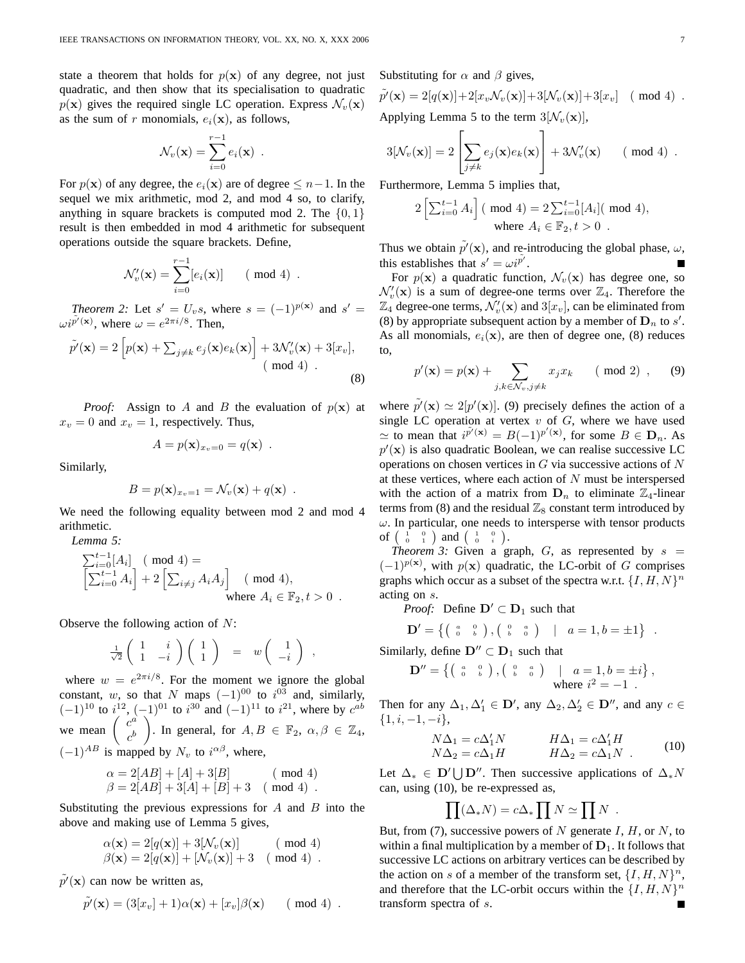state a theorem that holds for  $p(x)$  of any degree, not just quadratic, and then show that its specialisation to quadratic  $p(x)$  gives the required single LC operation. Express  $\mathcal{N}_v(x)$ as the sum of r monomials,  $e_i(\mathbf{x})$ , as follows,

$$
\mathcal{N}_v(\mathbf{x}) = \sum_{i=0}^{r-1} e_i(\mathbf{x}) \enspace .
$$

For  $p(x)$  of any degree, the  $e_i(x)$  are of degree  $\leq n-1$ . In the sequel we mix arithmetic, mod 2, and mod 4 so, to clarify, anything in square brackets is computed mod 2. The  $\{0, 1\}$ result is then embedded in mod 4 arithmetic for subsequent operations outside the square brackets. Define,

$$
\mathcal{N}'_v(\mathbf{x}) = \sum_{i=0}^{r-1} [e_i(\mathbf{x})] \qquad (\text{mod } 4) .
$$

*Theorem 2:* Let  $s' = U_v s$ , where  $s = (-1)^{p(x)}$  and  $s' =$  $\omega i^{\tilde{p}'(\mathbf{x})}$ , where  $\omega = e^{2\pi i/8}$ . Then,

$$
\tilde{p'}(\mathbf{x}) = 2 \left[ p(\mathbf{x}) + \sum_{j \neq k} e_j(\mathbf{x}) e_k(\mathbf{x}) \right] + 3\mathcal{N}_v'(\mathbf{x}) + 3[x_v],
$$
\n
$$
\text{(mod 4)}.
$$
\n(8)

*Proof:* Assign to A and B the evaluation of  $p(x)$  at  $x_v = 0$  and  $x_v = 1$ , respectively. Thus,

$$
A = p(\mathbf{x})_{x_v=0} = q(\mathbf{x}) .
$$

Similarly,

$$
B = p(\mathbf{x})_{x_v=1} = \mathcal{N}_v(\mathbf{x}) + q(\mathbf{x}) \enspace .
$$

We need the following equality between mod 2 and mod 4 arithmetic.

*Lemma 5:*

$$
\sum_{i=0}^{t-1} [A_i] \pmod{4} =
$$
\n
$$
\left[\sum_{i=0}^{t-1} A_i\right] + 2\left[\sum_{i \neq j} A_i A_j\right] \pmod{4},
$$
\nwhere  $A_i \in \mathbb{F}_2, t > 0$ .

Observe the following action of  $N$ :

$$
\frac{1}{\sqrt{2}}\left(\begin{array}{cc} 1 & i \\ 1 & -i \end{array}\right)\left(\begin{array}{c} 1 \\ 1 \end{array}\right) = w\left(\begin{array}{c} 1 \\ -i \end{array}\right) ,
$$

where  $w = e^{2\pi i/8}$ . For the moment we ignore the global constant, w, so that N maps  $(-1)^{00}$  to  $i^{03}$  and, similarly,  $(-1)^{10}$  to  $i^{12}$ ,  $(-1)^{01}$  to  $i^{30}$  and  $(-1)^{11}$  to  $i^{21}$ , where by  $c^{ab}$ we mean  $\begin{pmatrix} c^a \\ b \end{pmatrix}$  $c^b$ ). In general, for  $A, B \in \mathbb{F}_2$ ,  $\alpha, \beta \in \mathbb{Z}_4$ ,  $(-1)^{AB}$  is mapped by  $N_v$  to  $i^{\alpha\beta}$ , where,

$$
\alpha = 2[AB] + [A] + 3[B] \qquad (\text{mod } 4)
$$
  

$$
\beta = 2[AB] + 3[A] + [B] + 3 \quad (\text{mod } 4).
$$

Substituting the previous expressions for  $A$  and  $B$  into the above and making use of Lemma 5 gives,

$$
\alpha(\mathbf{x}) = 2[q(\mathbf{x})] + 3[\mathcal{N}_v(\mathbf{x})] \quad (\text{mod } 4)
$$
  

$$
\beta(\mathbf{x}) = 2[q(\mathbf{x})] + [\mathcal{N}_v(\mathbf{x})] + 3 \quad (\text{mod } 4).
$$

 $\tilde{p'}(\mathbf{x})$  can now be written as,

$$
\tilde{p'}(\mathbf{x}) = (3[x_v] + 1)\alpha(\mathbf{x}) + [x_v]\beta(\mathbf{x}) \qquad (\text{mod } 4) .
$$

Substituting for  $\alpha$  and  $\beta$  gives,

$$
\tilde{p}'(\mathbf{x}) = 2[q(\mathbf{x})] + 2[x_v \mathcal{N}_v(\mathbf{x})] + 3[\mathcal{N}_v(\mathbf{x})] + 3[x_v] \pmod{4}.
$$
  
Applying Lenna 5 to the term 3[ $\mathcal{N}_v(\mathbf{x})$ ]

Applying Lemma 5 to the term  $3[N_v(\mathbf{x})],$  $\Gamma$  $\overline{1}$ 

$$
3[\mathcal{N}_v(\mathbf{x})] = 2\left[\sum_{j\neq k} e_j(\mathbf{x})e_k(\mathbf{x})\right] + 3\mathcal{N}'_v(\mathbf{x}) \qquad (\text{mod } 4) .
$$

Furthermore, Lemma 5 implies that,

$$
2\left[\sum_{i=0}^{t-1} A_i\right] \text{ (mod 4)} = 2\sum_{i=0}^{t-1} [A_i] \text{ (mod 4)},
$$
  
where  $A_i \in \mathbb{F}_2, t > 0$ .

Thus we obtain  $\tilde{p}'(\mathbf{x})$ , and re-introducing the global phase,  $\omega$ , this establishes that  $s' = \omega i^{\tilde{p}'}$ .

For  $p(x)$  a quadratic function,  $\mathcal{N}_v(x)$  has degree one, so  $\mathcal{N}'_v(\mathbf{x})$  is a sum of degree-one terms over  $\mathbb{Z}_4$ . Therefore the  $\mathbb{Z}_4$  degree-one terms,  $\mathcal{N}'_v(\mathbf{x})$  and  $3[x_v]$ , can be eliminated from (8) by appropriate subsequent action by a member of  $\mathbf{D}_n$  to  $s'$ . As all monomials,  $e_i(\mathbf{x})$ , are then of degree one, (8) reduces to,

$$
p'(\mathbf{x}) = p(\mathbf{x}) + \sum_{j,k \in \mathcal{N}_v, j \neq k} x_j x_k \qquad (\text{mod } 2) , \qquad (9)
$$

where  $\tilde{p}'(\mathbf{x}) \simeq 2[p'(\mathbf{x})]$ . (9) precisely defines the action of a single LC operation at vertex  $v$  of  $G$ , where we have used  $\simeq$  to mean that  $i^{\tilde{p}'(\mathbf{x})} = B(-1)^{p'(\mathbf{x})}$ , for some  $B \in \mathbf{D}_n$ . As  $p'(\mathbf{x})$  is also quadratic Boolean, we can realise successive LC operations on chosen vertices in  $G$  via successive actions of  $N$ at these vertices, where each action of  $N$  must be interspersed with the action of a matrix from  $D_n$  to eliminate  $\mathbb{Z}_4$ -linear terms from (8) and the residual  $\mathbb{Z}_8$  constant term introduced by  $\omega$ . In particular, one needs to intersperse with tensor products of  $\begin{pmatrix} 1 & 0 \\ 0 & 1 \end{pmatrix}$  and  $\begin{pmatrix} 1 & 0 \\ 0 & i \end{pmatrix}$ .

*Theorem 3:* Given a graph,  $G$ , as represented by  $s =$  $(-1)^{p(x)}$ , with  $p(x)$  quadratic, the LC-orbit of G comprises graphs which occur as a subset of the spectra w.r.t.  $\{I, H, N\}^n$ acting on s.

*Proof:* Define  $D' \subset D_1$  such that

$$
\mathbf{D}' = \left\{ \left( \begin{array}{cc} a & 0 \\ 0 & b \end{array} \right), \left( \begin{array}{cc} 0 & a \\ b & 0 \end{array} \right) \quad | \quad a = 1, b = \pm 1 \right\} \; .
$$

Similarly, define  $D'' \subset D_1$  such that

$$
\mathbf{D}'' = \left\{ \left( \begin{array}{cc} a & 0 \\ 0 & b \end{array} \right), \left( \begin{array}{cc} 0 & a \\ b & 0 \end{array} \right) \quad \middle| \quad a = 1, b = \pm i \right\},
$$
\nwhere  $i^2 = -1$ .

Then for any  $\Delta_1, \Delta'_1 \in \mathbf{D}'$ , any  $\Delta_2, \Delta'_2 \in \mathbf{D}''$ , and any  $c \in$  $\{1, i, -1, -i\},\$ 

$$
N\Delta_1 = c\Delta'_1 N \qquad H\Delta_1 = c\Delta'_1 H N\Delta_2 = c\Delta_1 H \qquad H\Delta_2 = c\Delta_1 N \qquad (10)
$$

Let  $\Delta_* \in \mathbf{D}' \bigcup \mathbf{D}''$ . Then successive applications of  $\Delta_* N$ can, using (10), be re-expressed as,

$$
\prod (\Delta_* N) = c \Delta_* \prod N \simeq \prod N \ .
$$

But, from (7), successive powers of N generate  $I, H$ , or N, to within a final multiplication by a member of  $D_1$ . It follows that successive LC actions on arbitrary vertices can be described by the action on s of a member of the transform set,  $\{I, H, N\}^n$ , and therefore that the LC-orbit occurs within the  $\{I, H, N\}^n$ transform spectra of s.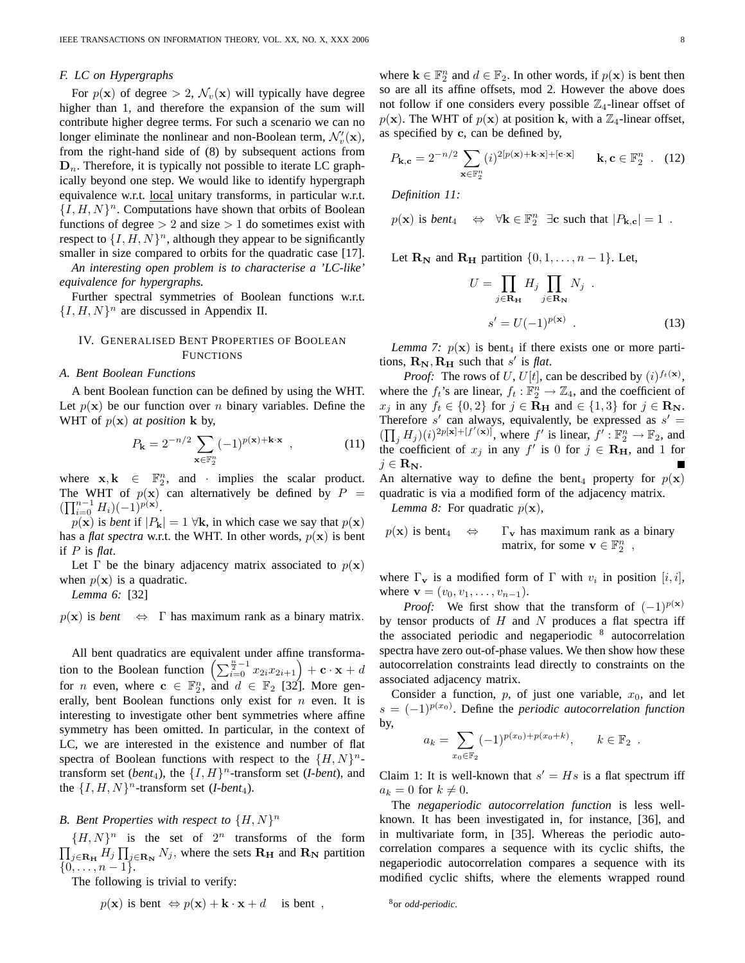### *F. LC on Hypergraphs*

For  $p(\mathbf{x})$  of degree > 2,  $\mathcal{N}_v(\mathbf{x})$  will typically have degree higher than 1, and therefore the expansion of the sum will contribute higher degree terms. For such a scenario we can no longer eliminate the nonlinear and non-Boolean term,  $\mathcal{N}'_v(\mathbf{x})$ , from the right-hand side of (8) by subsequent actions from  $\mathbf{D}_n$ . Therefore, it is typically not possible to iterate LC graphically beyond one step. We would like to identify hypergraph equivalence w.r.t. local unitary transforms, in particular w.r.t.  $\{I, H, N\}^n$ . Computations have shown that orbits of Boolean functions of degree  $> 2$  and size  $> 1$  do sometimes exist with respect to  $\{I, H, N\}$ <sup>n</sup>, although they appear to be significantly smaller in size compared to orbits for the quadratic case [17].

*An interesting open problem is to characterise a 'LC-like' equivalence for hypergraphs.*

Further spectral symmetries of Boolean functions w.r.t.  $\{I, H, N\}^n$  are discussed in Appendix II.

# IV. GENERALISED BENT PROPERTIES OF BOOLEAN FUNCTIONS

### *A. Bent Boolean Functions*

A bent Boolean function can be defined by using the WHT. Let  $p(x)$  be our function over n binary variables. Define the WHT of  $p(x)$  *at position* **k** by,

$$
P_{\mathbf{k}} = 2^{-n/2} \sum_{\mathbf{x} \in \mathbb{F}_2^n} (-1)^{p(\mathbf{x}) + \mathbf{k} \cdot \mathbf{x}} \tag{11}
$$

where  $x, k \in \mathbb{F}_2^n$ , and · implies the scalar product. The WHT of  $p(x)$  can alternatively be defined by  $P =$  $(\prod_{i=0}^{n-1} H_i)(-1)^{p(\mathbf{x})}.$ 

 $p(\mathbf{x})$  is *bent* if  $|P_{\mathbf{k}}| = 1 \forall \mathbf{k}$ , in which case we say that  $p(\mathbf{x})$ has a *flat spectra* w.r.t. the WHT. In other words,  $p(x)$  is bent if P is *flat*.

Let  $\Gamma$  be the binary adjacency matrix associated to  $p(\mathbf{x})$ when  $p(x)$  is a quadratic.

*Lemma 6:* [32]

 $p(x)$  is *bent*  $\Leftrightarrow$   $\Gamma$  has maximum rank as a binary matrix.

All bent quadratics are equivalent under affine transformation to the Boolean function  $\left(\sum_{i=0}^{\frac{n}{2}-1} x_{2i}x_{2i+1}\right) + \mathbf{c} \cdot \mathbf{x} + d$ for *n* even, where  $c \in \mathbb{F}_2^n$ , and  $d \in \mathbb{F}_2$  [32]. More generally, bent Boolean functions only exist for  $n$  even. It is interesting to investigate other bent symmetries where affine symmetry has been omitted. In particular, in the context of LC, we are interested in the existence and number of flat spectra of Boolean functions with respect to the  $\{H, N\}^n$ transform set (*bent*<sub>4</sub>), the  $\{I, H\}^n$ -transform set (*I-bent*), and the  $\{I, H, N\}^n$ -transform set (*I-bent*<sub>4</sub>).

# **B.** Bent Properties with respect to  $\{H, N\}^n$

 $\{H, N\}^n$  is the set of  $2^n$  transforms of the form  $\prod_{j \in \mathbf{R_H}} H_j \prod_{j \in \mathbf{R_N}} N_j$ , where the sets  $\mathbf{R_H}$  and  $\mathbf{R_N}$  partition  $\{0, \ldots, n-1\}.$ 

The following is trivial to verify:

$$
p(\mathbf{x})
$$
 is bent  $\Leftrightarrow p(\mathbf{x}) + \mathbf{k} \cdot \mathbf{x} + d$  is bent,

where  $\mathbf{k} \in \mathbb{F}_2^n$  and  $d \in \mathbb{F}_2$ . In other words, if  $p(\mathbf{x})$  is bent then so are all its affine offsets, mod 2. However the above does not follow if one considers every possible  $\mathbb{Z}_4$ -linear offset of  $p(\mathbf{x})$ . The WHT of  $p(\mathbf{x})$  at position k, with a  $\mathbb{Z}_4$ -linear offset, as specified by c, can be defined by,

$$
P_{\mathbf{k},\mathbf{c}} = 2^{-n/2} \sum_{\mathbf{x} \in \mathbb{F}_2^n} (i)^{2[p(\mathbf{x}) + \mathbf{k} \cdot \mathbf{x}] + [\mathbf{c} \cdot \mathbf{x}]} \qquad \mathbf{k}, \mathbf{c} \in \mathbb{F}_2^n \quad . \quad (12)
$$

*Definition 11:*

 $p(\mathbf{x})$  is *bent*<sub>4</sub>  $\Leftrightarrow \forall \mathbf{k} \in \mathbb{F}_2^n$   $\exists \mathbf{c}$  such that  $|P_{\mathbf{k},\mathbf{c}}| = 1$ .

Let  $\mathbf{R}_{\mathbf{N}}$  and  $\mathbf{R}_{\mathbf{H}}$  partition  $\{0, 1, \ldots, n-1\}$ . Let,

$$
U = \prod_{j \in \mathbf{R}_{\mathbf{H}}} H_j \prod_{j \in \mathbf{R}_{\mathbf{N}}} N_j .
$$

$$
s' = U(-1)^{p(\mathbf{x})} .
$$
(13)

*Lemma 7:*  $p(x)$  is bent<sub>4</sub> if there exists one or more partitions,  $\mathbf{R}_{N}$ ,  $\mathbf{R}_{H}$  such that s' is *flat*.

*Proof:* The rows of U,  $U[t]$ , can be described by  $(i)$ <sup>f<sub>t</sub>( $\mathbf{x}$ ),</sup> where the  $f_t$ 's are linear,  $f_t : \mathbb{F}_2^n \to \mathbb{Z}_4$ , and the coefficient of  $x_j$  in any  $f_t \in \{0, 2\}$  for  $j \in \mathbf{R_H}$  and  $\in \{1, 3\}$  for  $j \in \mathbf{R_N}$ . Therefore  $s'$  can always, equivalently, be expressed as  $s' =$  $(\prod_j H_j)(i)^{2p[\mathbf{x}]+[f'(\mathbf{x})]}$ , where f' is linear,  $f' : \mathbb{F}_2^n \to \mathbb{F}_2$ , and the coefficient of  $x_j$  in any f' is 0 for  $j \in \mathbf{R_H}$ , and 1 for  $j \in \mathbf{R_N}$ .

An alternative way to define the bent<sub>4</sub> property for  $p(x)$ quadratic is via a modified form of the adjacency matrix.

*Lemma 8:* For quadratic  $p(x)$ ,

$$
p(\mathbf{x})
$$
 is bent<sub>4</sub>  $\Leftrightarrow \Gamma_{\mathbf{v}}$  has maximum rank as a binary matrix, for some  $\mathbf{v} \in \mathbb{F}_2^n$ ,

where  $\Gamma_{\mathbf{v}}$  is a modified form of  $\Gamma$  with  $v_i$  in position  $[i, i]$ , where  $\mathbf{v} = (v_0, v_1, \dots, v_{n-1}).$ 

*Proof:* We first show that the transform of  $(-1)^{p(x)}$ by tensor products of  $H$  and  $N$  produces a flat spectra iff the associated periodic and negaperiodic <sup>8</sup> autocorrelation spectra have zero out-of-phase values. We then show how these autocorrelation constraints lead directly to constraints on the associated adjacency matrix.

Consider a function,  $p$ , of just one variable,  $x_0$ , and let  $s = (-1)^{p(x_0)}$ . Define the *periodic autocorrelation function* by,

$$
a_k = \sum_{x_0 \in \mathbb{F}_2} (-1)^{p(x_0) + p(x_0 + k)}, \qquad k \in \mathbb{F}_2.
$$

Claim 1: It is well-known that  $s' = Hs$  is a flat spectrum iff  $a_k = 0$  for  $k \neq 0$ .

The *negaperiodic autocorrelation function* is less wellknown. It has been investigated in, for instance, [36], and in multivariate form, in [35]. Whereas the periodic autocorrelation compares a sequence with its cyclic shifts, the negaperiodic autocorrelation compares a sequence with its modified cyclic shifts, where the elements wrapped round

<sup>8</sup>or *odd-periodic*.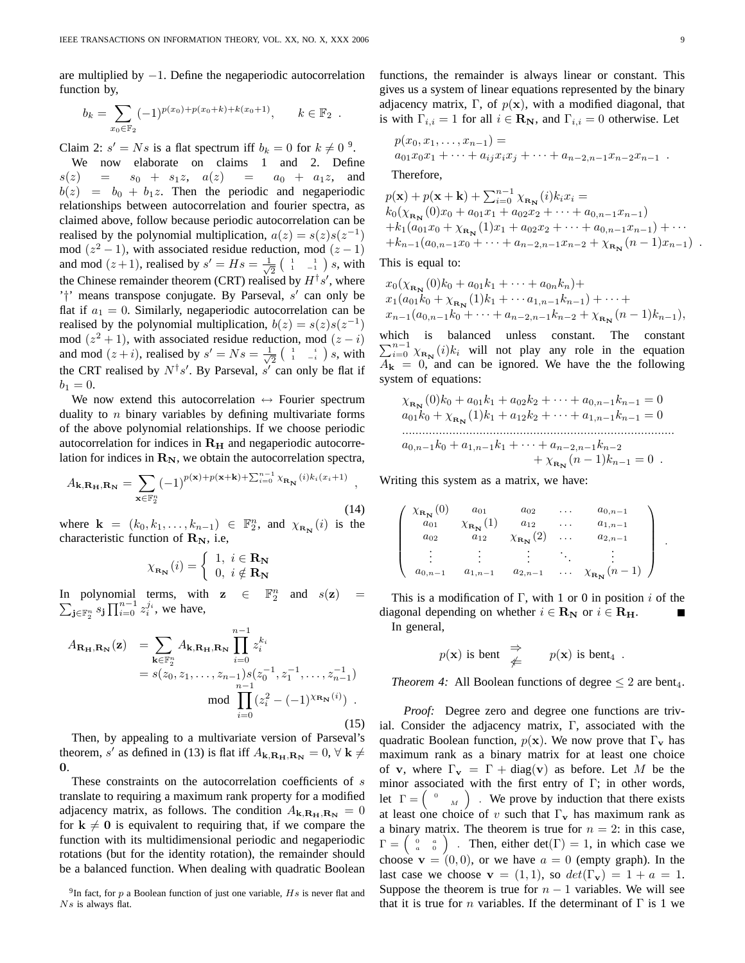are multiplied by  $-1$ . Define the negaperiodic autocorrelation function by,

$$
b_k = \sum_{x_0 \in \mathbb{F}_2} (-1)^{p(x_0) + p(x_0 + k) + k(x_0 + 1)}, \qquad k \in \mathbb{F}_2.
$$

Claim 2:  $s' = Ns$  is a flat spectrum iff  $b_k = 0$  for  $k \neq 0$ <sup>9</sup>.

We now elaborate on claims 1 and 2. Define  $s(z) = s_0 + s_1z, \quad a(z) = a_0 + a_1z, \quad \text{and}$  $b(z) = b_0 + b_1z$ . Then the periodic and negaperiodic relationships between autocorrelation and fourier spectra, as claimed above, follow because periodic autocorrelation can be realised by the polynomial multiplication,  $a(z) = s(z)s(z^{-1})$ mod  $(z^2 - 1)$ , with associated residue reduction, mod  $(z - 1)$ and mod  $(z+1)$ , realised by  $s' = Hs = \frac{1}{\sqrt{2}}$  $\frac{1}{2}$   $\begin{pmatrix} 1 & 1 \\ 1 & -1 \end{pmatrix} s$ , with the Chinese remainder theorem (CRT) realised by  $H^{\dagger} s'$ , where '<sup>†</sup>' means transpose conjugate. By Parseval,  $s'$  can only be flat if  $a_1 = 0$ . Similarly, negaperiodic autocorrelation can be realised by the polynomial multiplication,  $b(z) = s(z)s(z^{-1})$ mod  $(z^2 + 1)$ , with associated residue reduction, mod  $(z - i)$ and mod  $(z+i)$ , realised by  $s' = Ns = \frac{1}{\sqrt{2}}$  $\frac{1}{2} \left( \begin{array}{cc} 1 & i \\ 1 & -i \end{array} \right) s$ , with the CRT realised by  $N^{\dagger} s'$ . By Parseval,  $s'$  can only be flat if  $b_1 = 0.$ 

We now extend this autocorrelation  $\leftrightarrow$  Fourier spectrum duality to  $n$  binary variables by defining multivariate forms of the above polynomial relationships. If we choose periodic autocorrelation for indices in  $R_H$  and negaperiodic autocorrelation for indices in  $\mathbf{R}_{N}$ , we obtain the autocorrelation spectra,

$$
A_{\mathbf{k},\mathbf{R}_{\mathbf{H}},\mathbf{R}_{\mathbf{N}}} = \sum_{\mathbf{x}\in\mathbb{F}_2^n} (-1)^{p(\mathbf{x})+p(\mathbf{x}+\mathbf{k})+\sum_{i=0}^{n-1} \chi_{\mathbf{R}_{\mathbf{N}}}(i)k_i(x_i+1)},
$$
\n(14)

where  $\mathbf{k} = (k_0, k_1, \dots, k_{n-1}) \in \mathbb{F}_2^n$ , and  $\chi_{\mathbf{R_N}}(i)$  is the characteristic function of  $\mathbf{R}_{N}$ , i.e,

$$
\chi_{\mathbf{R_{N}}}(i) = \left\{ \begin{array}{l} 1, \ i \in \mathbf{R_{N}} \\ 0, \ i \notin \mathbf{R_{N}} \end{array} \right.
$$

In polynomial terms, with  $z \in$  $\frac{n}{2}$  $\sum_{\mathbf{j}\in\mathbb{F}_2^n} s_{\mathbf{j}} \prod_{i=0}^{n-1} z_i^{j_i}$ , we have, and  $s(\mathbf{z})$ 

$$
A_{\mathbf{R}_{\mathbf{H}},\mathbf{R}_{\mathbf{N}}}(\mathbf{z}) = \sum_{\mathbf{k} \in \mathbb{F}_{2}^{n}} A_{\mathbf{k},\mathbf{R}_{\mathbf{H}},\mathbf{R}_{\mathbf{N}}} \prod_{i=0}^{n-1} z_{i}^{k_{i}}
$$
  
=  $s(z_{0}, z_{1}, \ldots, z_{n-1}) s(z_{0}^{-1}, z_{1}^{-1}, \ldots, z_{n-1}^{-1})$   
mod  $\prod_{i=0}^{n-1} (z_{i}^{2} - (-1)^{\chi_{\mathbf{R}_{\mathbf{N}}(i)}}).$  (15)

Then, by appealing to a multivariate version of Parseval's theorem, s' as defined in (13) is flat iff  $A_{\mathbf{k},\mathbf{R}_{\mathbf{H}},\mathbf{R}_{\mathbf{N}}}=0, \forall \mathbf{k} \neq 0$ 0.

These constraints on the autocorrelation coefficients of s translate to requiring a maximum rank property for a modified adjacency matrix, as follows. The condition  $A_{\mathbf{k},\mathbf{R}_{\mathbf{H}},\mathbf{R}_{\mathbf{N}}} = 0$ for  $k \neq 0$  is equivalent to requiring that, if we compare the function with its multidimensional periodic and negaperiodic rotations (but for the identity rotation), the remainder should be a balanced function. When dealing with quadratic Boolean functions, the remainder is always linear or constant. This gives us a system of linear equations represented by the binary adjacency matrix, Γ, of  $p(x)$ , with a modified diagonal, that is with  $\Gamma_{i,i} = 1$  for all  $i \in \mathbb{R}_{\mathbb{N}}$ , and  $\Gamma_{i,i} = 0$  otherwise. Let

$$
p(x_0, x_1,..., x_{n-1}) =
$$
  
\n
$$
a_{01}x_0x_1 + \cdots + a_{ij}x_ix_j + \cdots + a_{n-2,n-1}x_{n-2}x_{n-1} .
$$

Therefore,

$$
p(\mathbf{x}) + p(\mathbf{x} + \mathbf{k}) + \sum_{i=0}^{n-1} \chi_{\mathbf{R_N}}(i) k_i x_i =
$$
  
\n
$$
k_0(\chi_{\mathbf{R_N}}(0)x_0 + a_{01}x_1 + a_{02}x_2 + \cdots + a_{0,n-1}x_{n-1})
$$
  
\n
$$
+ k_1(a_{01}x_0 + \chi_{\mathbf{R_N}}(1)x_1 + a_{02}x_2 + \cdots + a_{0,n-1}x_{n-1}) + \cdots
$$
  
\n
$$
+ k_{n-1}(a_{0,n-1}x_0 + \cdots + a_{n-2,n-1}x_{n-2} + \chi_{\mathbf{R_N}}(n-1)x_{n-1}) .
$$

This is equal to:

$$
x_0(\chi_{\mathbf{R_N}}(0)k_0 + a_{01}k_1 + \cdots + a_{0n}k_n) +x_1(a_{01}k_0 + \chi_{\mathbf{R_N}}(1)k_1 + \cdots + a_{1,n-1}k_{n-1}) + \cdots +x_{n-1}(a_{0,n-1}k_0 + \cdots + a_{n-2,n-1}k_{n-2} + \chi_{\mathbf{R_N}}(n-1)k_{n-1}),
$$

which is balanced unless constant. The constant  $\sum_{i=0}^{n-1} \chi_{\mathbf{R}_{N}}(i)k_{i}$  will not play any role in the equation  $A_{\mathbf{k}} = 0$ , and can be ignored. We have the the following system of equations:

$$
\chi_{\mathbf{R_N}}(0)k_0 + a_{01}k_1 + a_{02}k_2 + \cdots + a_{0,n-1}k_{n-1} = 0
$$
  
\n
$$
a_{01}k_0 + \chi_{\mathbf{R_N}}(1)k_1 + a_{12}k_2 + \cdots + a_{1,n-1}k_{n-1} = 0
$$
  
\n
$$
\vdots
$$
  
\n
$$
a_{0,n-1}k_0 + a_{1,n-1}k_1 + \cdots + a_{n-2,n-1}k_{n-2} + \chi_{\mathbf{R_N}}(n-1)k_{n-1} = 0.
$$

Writing this system as a matrix, we have:

$$
\begin{pmatrix}\n\chi_{\mathbf{R}_{\mathbf{N}}}(0) & a_{01} & a_{02} & \dots & a_{0,n-1} \\
a_{01} & \chi_{\mathbf{R}_{\mathbf{N}}}(1) & a_{12} & \dots & a_{1,n-1} \\
a_{02} & a_{12} & \chi_{\mathbf{R}_{\mathbf{N}}}(2) & \dots & a_{2,n-1} \\
\vdots & \vdots & \vdots & \ddots & \vdots \\
a_{0,n-1} & a_{1,n-1} & a_{2,n-1} & \dots & \chi_{\mathbf{R}_{\mathbf{N}}}(n-1)\n\end{pmatrix}.
$$

This is a modification of Γ, with 1 or 0 in position  $i$  of the diagonal depending on whether  $i \in \mathbf{R}_{N}$  or  $i \in \mathbf{R}_{H}$ . In general,

$$
p(\mathbf{x})
$$
 is bent  $\underset{\neq}{\Rightarrow}$   $p(\mathbf{x})$  is bent<sub>4</sub>.

*Theorem 4:* All Boolean functions of degree  $\leq 2$  are bent<sub>4</sub>.

*Proof:* Degree zero and degree one functions are trivial. Consider the adjacency matrix, Γ, associated with the quadratic Boolean function,  $p(x)$ . We now prove that  $\Gamma_{\mathbf{v}}$  has maximum rank as a binary matrix for at least one choice of v, where  $\Gamma_{\mathbf{v}} = \Gamma + \text{diag}(\mathbf{v})$  as before. Let M be the minor associated with the first entry of Γ; in other words, let  $\Gamma = \begin{pmatrix} 0 & w \end{pmatrix}$ . We prove by induction that there exists at least one choice of v such that  $\Gamma_{\mathbf{v}}$  has maximum rank as a binary matrix. The theorem is true for  $n = 2$ : in this case,  $\Gamma = \begin{pmatrix} 0 & a \\ a & 0 \end{pmatrix}$ . Then, either det( $\Gamma$ ) = 1, in which case we choose  $\mathbf{v} = (0, 0)$ , or we have  $a = 0$  (empty graph). In the last case we choose  $\mathbf{v} = (1, 1)$ , so  $det(\Gamma_{\mathbf{v}}) = 1 + a = 1$ . Suppose the theorem is true for  $n - 1$  variables. We will see that it is true for *n* variables. If the determinant of  $\Gamma$  is 1 we

<sup>&</sup>lt;sup>9</sup>In fact, for p a Boolean function of just one variable,  $Hs$  is never flat and  $Ns$  is always flat.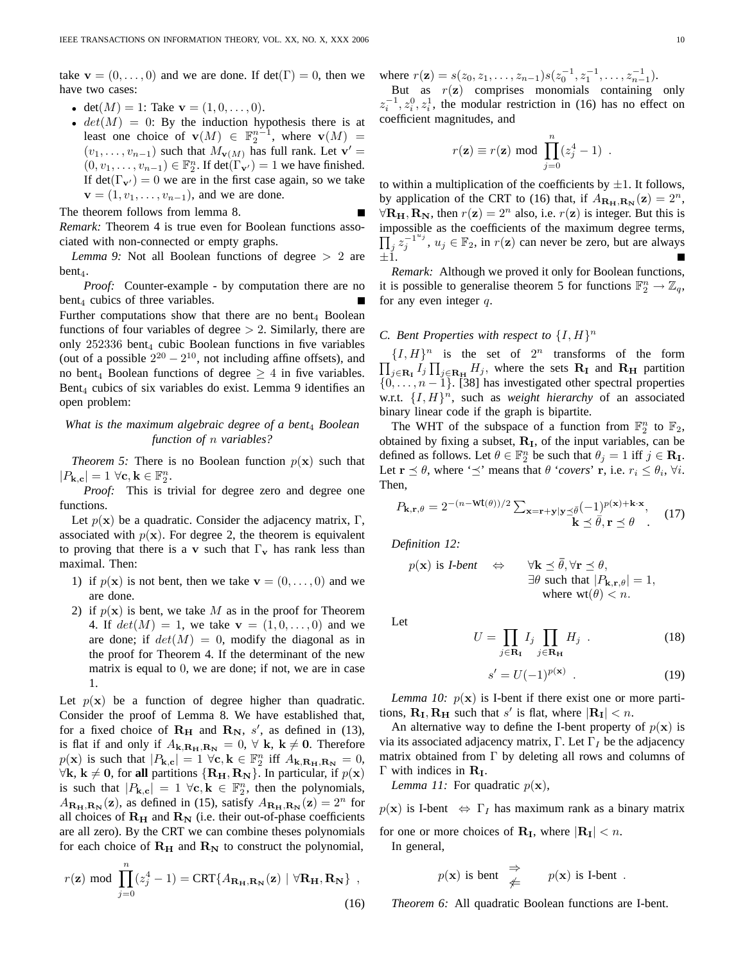take  $\mathbf{v} = (0, \dots, 0)$  and we are done. If  $det(\Gamma) = 0$ , then we have two cases:

- det $(M) = 1$ : Take  $\mathbf{v} = (1, 0, \dots, 0)$ .
- $det(M) = 0$ : By the induction hypothesis there is at least one choice of  $\mathbf{v}(M) \in \mathbb{F}_2^{n-1}$ , where  $\mathbf{v}(M) =$  $(v_1, \ldots, v_{n-1})$  such that  $M_{\mathbf{v}(M)}$  has full rank. Let  $\mathbf{v}' =$  $(0, v_1, \ldots, v_{n-1}) \in \mathbb{F}_2^n$ . If  $\det(\Gamma_{\mathbf{v'}}) = 1$  we have finished. If det( $\Gamma_{\mathbf{v}'}$ ) = 0 we are in the first case again, so we take  ${\bf v} = (1, v_1, \dots, v_{n-1})$ , and we are done.

The theorem follows from lemma 8. *Remark:* Theorem 4 is true even for Boolean functions associated with non-connected or empty graphs.

*Lemma 9:* Not all Boolean functions of degree  $> 2$  are  $bent<sub>4</sub>$ .

*Proof:* Counter-example - by computation there are no  $bent_4$  cubics of three variables. Further computations show that there are no bent $_4$  Boolean functions of four variables of degree  $> 2$ . Similarly, there are only  $252336$  bent<sub>4</sub> cubic Boolean functions in five variables (out of a possible  $2^{20} - 2^{10}$ , not including affine offsets), and no bent<sub>4</sub> Boolean functions of degree  $\geq 4$  in five variables. Bent<sub>4</sub> cubics of six variables do exist. Lemma 9 identifies an open problem:

# *What is the maximum algebraic degree of a bent*<sup>4</sup> *Boolean function of* n *variables?*

*Theorem 5:* There is no Boolean function  $p(x)$  such that  $|P_{\mathbf{k},\mathbf{c}}| = 1 \,\,\forall \mathbf{c}, \mathbf{k} \in \mathbb{F}_2^n.$ 

*Proof:* This is trivial for degree zero and degree one functions.

Let  $p(x)$  be a quadratic. Consider the adjacency matrix, Γ, associated with  $p(x)$ . For degree 2, the theorem is equivalent to proving that there is a v such that  $\Gamma_{\mathbf{v}}$  has rank less than maximal. Then:

- 1) if  $p(\mathbf{x})$  is not bent, then we take  $\mathbf{v} = (0, \dots, 0)$  and we are done.
- 2) if  $p(x)$  is bent, we take M as in the proof for Theorem 4. If  $det(M) = 1$ , we take  $v = (1, 0, \ldots, 0)$  and we are done; if  $det(M) = 0$ , modify the diagonal as in the proof for Theorem 4. If the determinant of the new matrix is equal to 0, we are done; if not, we are in case 1.

Let  $p(x)$  be a function of degree higher than quadratic. Consider the proof of Lemma 8. We have established that, for a fixed choice of  $R_H$  and  $R_N$ , s', as defined in (13), is flat if and only if  $A_{\mathbf{k},\mathbf{R}_{\mathbf{H}},\mathbf{R}_{\mathbf{N}}}=0, \forall \mathbf{k}, \mathbf{k} \neq \mathbf{0}$ . Therefore  $p(\mathbf{x})$  is such that  $|P_{\mathbf{k},\mathbf{c}}| = 1 \ \forall \mathbf{c}, \mathbf{k} \in \mathbb{F}_2^n$  iff  $A_{\mathbf{k},\mathbf{R}_{\mathbf{H}},\mathbf{R}_{\mathbf{N}}} = 0$ ,  $\forall$ **k**, **k** ≠ **0**, for **all** partitions {**R**<sub>H</sub>, **R**<sub>N</sub>}. In particular, if  $p(x)$ is such that  $|P_{\mathbf{k},\mathbf{c}}| = 1 \,\forall \mathbf{c}, \mathbf{k} \in \mathbb{F}_2^n$ , then the polynomials,  $A_{\mathbf{R}_{\mathbf{H}},\mathbf{R}_{\mathbf{N}}}(\mathbf{z})$ , as defined in (15), satisfy  $A_{\mathbf{R}_{\mathbf{H}},\mathbf{R}_{\mathbf{N}}}(\mathbf{z}) = 2^{n}$  for all choices of  $R_H$  and  $R_N$  (i.e. their out-of-phase coefficients are all zero). By the CRT we can combine theses polynomials for each choice of  $R_H$  and  $R_N$  to construct the polynomial,

$$
r(\mathbf{z}) \text{ mod } \prod_{j=0}^{n} (z_j^4 - 1) = \text{CRT}\{A_{\mathbf{R}_{\mathbf{H}}, \mathbf{R}_{\mathbf{N}}}(\mathbf{z}) \mid \forall \mathbf{R}_{\mathbf{H}}, \mathbf{R}_{\mathbf{N}}\},
$$
\n(16)

where  $r(\mathbf{z}) = s(z_0, z_1, \dots, z_{n-1}) s(z_0^{-1}, z_1^{-1}, \dots, z_{n-1}^{-1}).$ 

But as  $r(\mathbf{z})$  comprises monomials containing only  $z_i^{-1}, z_i^0, z_i^1$ , the modular restriction in (16) has no effect on coefficient magnitudes, and

$$
r(\mathbf{z}) \equiv r(\mathbf{z}) \text{ mod } \prod_{j=0}^{n} (z_j^4 - 1) .
$$

to within a multiplication of the coefficients by  $\pm 1$ . It follows, by application of the CRT to (16) that, if  $A_{\mathbf{R}_{\mathbf{H}},\mathbf{R}_{\mathbf{N}}}(\mathbf{z}) = 2^n$ ,  $\forall \mathbf{R}_{\mathbf{H}}, \mathbf{R}_{\mathbf{N}},$  then  $r(\mathbf{z}) = 2^n$  also, i.e.  $r(\mathbf{z})$  is integer. But this is impossible as the coefficients of the maximum degree terms,  $\prod_j z_j^{-1^{u_j}}$  $j_j^{-1,u_j}$ ,  $u_j \in \mathbb{F}_2$ , in  $r(\mathbf{z})$  can never be zero, but are always  $+1.$ 

*Remark:* Although we proved it only for Boolean functions, it is possible to generalise theorem 5 for functions  $\mathbb{F}_2^n \to \mathbb{Z}_q$ , for any even integer  $q$ .

# *C. Bent Properties with respect to*  $\{I, H\}^n$

 $\{I, H\}^n$  is the set of  $2^n$  transforms of the form  $\prod_{j\in \mathbf{R}_{\mathbf{I}}} I_j \prod_{j\in \mathbf{R}_{\mathbf{H}}} H_j$ , where the sets  $\mathbf{R}_{\mathbf{I}}$  and  $\mathbf{R}_{\mathbf{H}}$  partition  $\{0, \ldots, n-1\}$ . [38] has investigated other spectral properties w.r.t.  $\{I, H\}$ <sup>n</sup>, such as *weight hierarchy* of an associated binary linear code if the graph is bipartite.

The WHT of the subspace of a function from  $\mathbb{F}_2^n$  to  $\mathbb{F}_2$ , obtained by fixing a subset,  $R_I$ , of the input variables, can be defined as follows. Let  $\theta \in \mathbb{F}_2^n$  be such that  $\theta_j = 1$  iff  $j \in \mathbb{R}_1$ . Let  $\mathbf{r} \preceq \theta$ , where ' $\preceq'$  means that  $\theta$  '*covers*' **r**, i.e.  $r_i \leq \theta_i$ ,  $\forall i$ . Then,

$$
P_{\mathbf{k},\mathbf{r},\theta} = 2^{-(n-\mathbf{Wt}(\theta))/2} \sum_{\mathbf{x}=\mathbf{r}+\mathbf{y}|\mathbf{y}\preceq\bar{\theta}} \frac{(-1)^{p(\mathbf{x})+\mathbf{k}\cdot\mathbf{x}}}{\mathbf{k}\preceq\bar{\theta},\mathbf{r}\preceq\theta}.
$$
 (17)

*Definition 12:*

$$
p(\mathbf{x}) \text{ is } I\text{-bent} \quad \Leftrightarrow \quad \forall \mathbf{k} \leq \bar{\theta}, \forall \mathbf{r} \leq \theta, \exists \theta \text{ such that } |P_{\mathbf{k}, \mathbf{r}, \theta}| = 1, \text{where } \mathbf{wt}(\theta) < n.
$$

Let

$$
U = \prod_{j \in \mathbf{R}_{\mathbf{I}}} I_j \prod_{j \in \mathbf{R}_{\mathbf{H}}} H_j \tag{18}
$$

$$
s' = U(-1)^{p(\mathbf{x})} \tag{19}
$$

*Lemma 10:*  $p(x)$  is I-bent if there exist one or more partitions,  $\mathbf{R}_{\text{I}}$ ,  $\mathbf{R}_{\text{H}}$  such that s' is flat, where  $|\mathbf{R}_{\text{I}}| < n$ .

An alternative way to define the I-bent property of  $p(x)$  is via its associated adjacency matrix,  $\Gamma$ . Let  $\Gamma_I$  be the adjacency matrix obtained from  $\Gamma$  by deleting all rows and columns of  $\Gamma$  with indices in  $\mathbf{R}_{\mathbf{I}}$ .

*Lemma 11:* For quadratic  $p(x)$ ,

 $p(x)$  is I-bent  $\Leftrightarrow \Gamma_I$  has maximum rank as a binary matrix

for one or more choices of  $\mathbf{R}_{\text{I}}$ , where  $|\mathbf{R}_{\text{I}}| < n$ . In general,

$$
p(\mathbf{x})
$$
 is bent  $\Rightarrow$   $p(\mathbf{x})$  is I-bent.

*Theorem 6:* All quadratic Boolean functions are I-bent.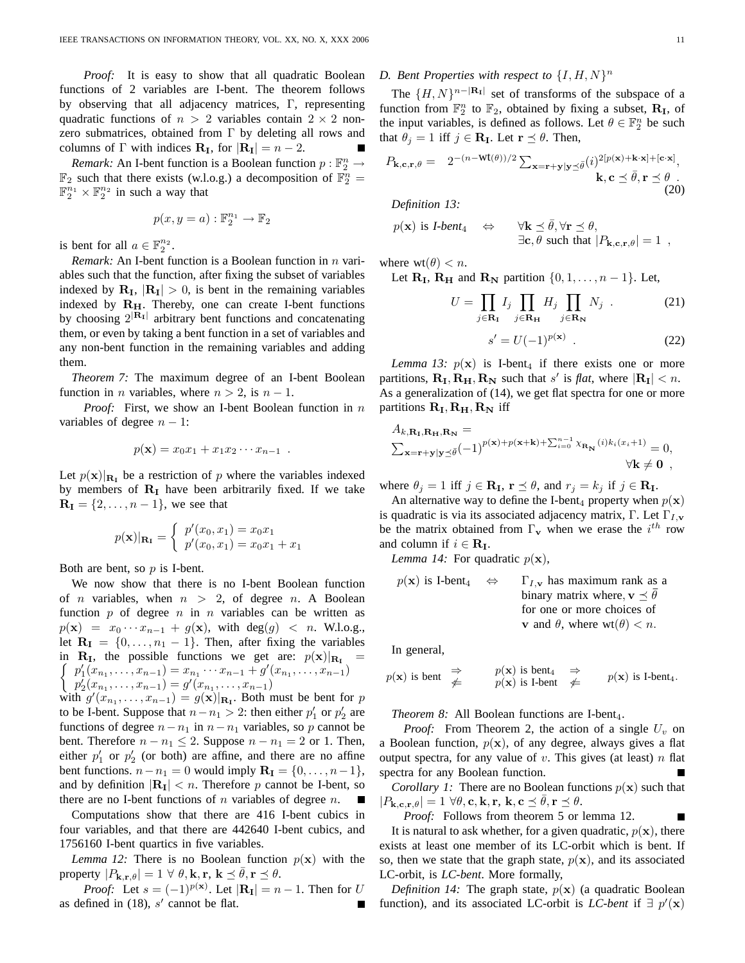*Proof:* It is easy to show that all quadratic Boolean functions of 2 variables are I-bent. The theorem follows by observing that all adjacency matrices, Γ, representing quadratic functions of  $n > 2$  variables contain  $2 \times 2$  nonzero submatrices, obtained from Γ by deleting all rows and columns of  $\Gamma$  with indices  $\mathbf{R}_{\text{I}}$ , for  $|\mathbf{R}_{\text{I}}| = n - 2$ .

*Remark:* An I-bent function is a Boolean function  $p : \mathbb{F}_2^n \to$  $\mathbb{F}_2$  such that there exists (w.l.o.g.) a decomposition of  $\mathbb{F}_2^n =$  $\mathbb{F}_2^{n_1} \times \mathbb{F}_2^{n_2}$  in such a way that

$$
p(x, y = a) : \mathbb{F}_2^{n_1} \to \mathbb{F}_2
$$

is bent for all  $a \in \mathbb{F}_2^{n_2}$ .

*Remark:* An I-bent function is a Boolean function in *n* variables such that the function, after fixing the subset of variables indexed by  $\mathbf{R}_{\text{I}}$ ,  $|\mathbf{R}_{\text{I}}| > 0$ , is bent in the remaining variables indexed by  $R_H$ . Thereby, one can create I-bent functions by choosing  $2^{\vert \mathbf{R}_I \vert}$  arbitrary bent functions and concatenating them, or even by taking a bent function in a set of variables and any non-bent function in the remaining variables and adding them.

*Theorem 7:* The maximum degree of an I-bent Boolean function in *n* variables, where  $n > 2$ , is  $n - 1$ .

*Proof:* First, we show an I-bent Boolean function in n variables of degree  $n - 1$ :

$$
p(\mathbf{x}) = x_0 x_1 + x_1 x_2 \cdots x_{n-1} .
$$

Let  $p(\mathbf{x})|_{\mathbf{R}_{I}}$  be a restriction of p where the variables indexed by members of  $R<sub>I</sub>$  have been arbitrarily fixed. If we take  **we see that** 

$$
p(\mathbf{x})|_{\mathbf{R}_{\mathbf{I}}} = \begin{cases} p'(x_0, x_1) = x_0 x_1 \\ p'(x_0, x_1) = x_0 x_1 + x_1 \end{cases}
$$

Both are bent, so  $p$  is I-bent.

We now show that there is no I-bent Boolean function of *n* variables, when  $n > 2$ , of degree *n*. A Boolean function  $p$  of degree  $n$  in  $n$  variables can be written as  $p(\mathbf{x}) = x_0 \cdots x_{n-1} + g(\mathbf{x})$ , with deg(g) < n. W.l.o.g., let  $\mathbf{R}_{I} = \{0, \ldots, n_1 - 1\}$ . Then, after fixing the variables  $\int p'_1(x_{n_1},\ldots,x_{n-1})=x_{n_1}\cdots x_{n-1}+g'(x_{n_1},\ldots,x_{n-1})$ in  $\mathbf{R}_{\text{I}}$ , the possible functions we get are:  $p(\mathbf{x})|_{\mathbf{R}_{\text{I}}}$  $p'_{2}(x_{n_{1}},...,x_{n-1})=g'(x_{n_{1}},...,x_{n-1})$ 

with  $g'(x_{n_1},...,x_{n-1}) = g(x)|_{\mathbf{R}_1}$ . Both must be bent for p to be I-bent. Suppose that  $n - n_1 > 2$ : then either  $p'_1$  or  $p'_2$  are functions of degree  $n - n_1$  in  $n - n_1$  variables, so p cannot be bent. Therefore  $n - n_1 \leq 2$ . Suppose  $n - n_1 = 2$  or 1. Then, either  $p'_1$  or  $p'_2$  (or both) are affine, and there are no affine bent functions.  $n - n_1 = 0$  would imply  $\mathbf{R}_{\mathbf{I}} = \{0, \dots, n-1\},\$ and by definition  $|\mathbf{R}_{\mathbf{I}}| < n$ . Therefore p cannot be I-bent, so there are no I-bent functions of  $n$  variables of degree  $n$ .

Computations show that there are 416 I-bent cubics in four variables, and that there are 442640 I-bent cubics, and 1756160 I-bent quartics in five variables.

*Lemma 12:* There is no Boolean function  $p(x)$  with the property  $|P_{\mathbf{k},\mathbf{r},\theta}| = 1 \ \forall \ \theta, \mathbf{k}, \mathbf{r}, \ \mathbf{k} \preceq \theta, \mathbf{r} \preceq \theta.$ 

*Proof:* Let  $s = (-1)^{p(\mathbf{x})}$ . Let  $|\mathbf{R}_{\mathbf{I}}| = n - 1$ . Then for U as defined in  $(18)$ , s' cannot be flat.

# D. Bent Properties with respect to  $\{I, H, N\}^n$

The  $\{H, N\}^{n-|\mathbf{R}_{I}|}$  set of transforms of the subspace of a function from  $\mathbb{F}_2^n$  to  $\mathbb{F}_2$ , obtained by fixing a subset,  $\mathbf{R}_{\text{I}}$ , of the input variables, is defined as follows. Let  $\theta \in \mathbb{F}_2^n$  be such that  $\theta_j = 1$  iff  $j \in \mathbf{R}_{\mathbf{I}}$ . Let  $\mathbf{r} \preceq \theta$ . Then,

$$
P_{\mathbf{k},\mathbf{c},\mathbf{r},\theta} = 2^{-(n-\mathrm{Wt}(\theta))/2} \sum_{\mathbf{x}=\mathbf{r}+\mathbf{y}|\mathbf{y}\preceq\bar{\theta}} (i)^{2[p(\mathbf{x})+\mathbf{k}\cdot\mathbf{x}]+\left[\mathbf{c}\cdot\mathbf{x}\right]},
$$
\n
$$
\mathbf{k},\mathbf{c}\preceq\bar{\theta},\mathbf{r}\preceq\theta.
$$
\n(20)

*Definition 13:*

$$
p(\mathbf{x}) \text{ is } I\text{-}bent_4 \quad \Leftrightarrow \quad \forall \mathbf{k} \leq \bar{\theta}, \forall \mathbf{r} \leq \theta, \exists \mathbf{c}, \theta \text{ such that } |P_{\mathbf{k},\mathbf{c},\mathbf{r},\theta}| = 1
$$

where  $wt(\theta) < n$ .

Let  $\mathbf{R}_{\mathbf{I}}, \mathbf{R}_{\mathbf{H}}$  and  $\mathbf{R}_{\mathbf{N}}$  partition  $\{0, 1, \ldots, n-1\}$ . Let,

$$
U = \prod_{j \in \mathbf{R}_{\mathbf{I}}} I_j \prod_{j \in \mathbf{R}_{\mathbf{H}}} H_j \prod_{j \in \mathbf{R}_{\mathbf{N}}} N_j \tag{21}
$$

$$
s' = U(-1)^{p(\mathbf{x})} . \t(22)
$$

*Lemma 13:*  $p(x)$  is I-bent<sub>4</sub> if there exists one or more partitions,  $\mathbf{R}_{\text{I}}, \mathbf{R}_{\text{H}}, \mathbf{R}_{\text{N}}$  such that s' is *flat*, where  $|\mathbf{R}_{\text{I}}| < n$ . As a generalization of (14), we get flat spectra for one or more partitions  $R_I, R_H, R_N$  iff

$$
A_{k,\mathbf{R}_{\mathbf{I}},\mathbf{R}_{\mathbf{H}},\mathbf{R}_{\mathbf{N}}} =
$$
  

$$
\sum_{\mathbf{x}=\mathbf{r}+\mathbf{y}|\mathbf{y}\preceq\bar{\theta}} (-1)^{p(\mathbf{x})+p(\mathbf{x}+\mathbf{k})+\sum_{i=0}^{n-1} \chi_{\mathbf{R}_{\mathbf{N}}}(i)k_i(x_i+1)} = 0,
$$
  

$$
\forall \mathbf{k} \neq \mathbf{0},
$$

where  $\theta_j = 1$  iff  $j \in \mathbf{R}_{\mathbf{I}}$ ,  $\mathbf{r} \preceq \theta$ , and  $r_j = k_j$  if  $j \in \mathbf{R}_{\mathbf{I}}$ .

An alternative way to define the I-bent<sub>4</sub> property when  $p(x)$ is quadratic is via its associated adjacency matrix, Γ. Let  $\Gamma_{I,\mathbf{v}}$ be the matrix obtained from  $\Gamma_{\mathbf{v}}$  when we erase the  $i^{th}$  row and column if  $i \in \mathbf{R}_{\mathbf{I}}$ .

*Lemma 14:* For quadratic  $p(x)$ ,

$$
p(\mathbf{x})
$$
 is I-bent<sub>4</sub>  $\Leftrightarrow$   $\Gamma_{I,\mathbf{v}}$  has maximum rank as a binary matrix where,  $\mathbf{v} \preceq \overline{\theta}$  for one or more choices of **v** and  $\theta$ , where  $wt(\theta) < n$ .

In general,

$$
p(\mathbf{x})
$$
 is bent  $\underset{\neq}{\Rightarrow}$   $p(\mathbf{x})$  is bent<sub>4</sub>  $\underset{\neq}{\Rightarrow}$   $p(\mathbf{x})$  is I-bent<sub>4</sub>.

*Theorem 8:* All Boolean functions are I-bent<sub>4</sub>.

*Proof:* From Theorem 2, the action of a single  $U_v$  on a Boolean function,  $p(x)$ , of any degree, always gives a flat output spectra, for any value of v. This gives (at least)  $n$  flat spectra for any Boolean function.

*Corollary 1:* There are no Boolean functions  $p(x)$  such that  $|P_{\mathbf{k},\mathbf{c},\mathbf{r},\theta}| = 1 \,\forall \theta,\mathbf{c},\mathbf{k},\mathbf{r},\mathbf{k},\mathbf{c} \preceq \bar{\theta},\mathbf{r} \preceq \theta.$ 

*Proof:* Follows from theorem 5 or lemma 12.

It is natural to ask whether, for a given quadratic,  $p(x)$ , there exists at least one member of its LC-orbit which is bent. If so, then we state that the graph state,  $p(x)$ , and its associated LC-orbit, is *LC-bent*. More formally,

*Definition 14:* The graph state,  $p(x)$  (a quadratic Boolean function), and its associated LC-orbit is *LC-bent* if  $\exists p'(\mathbf{x})$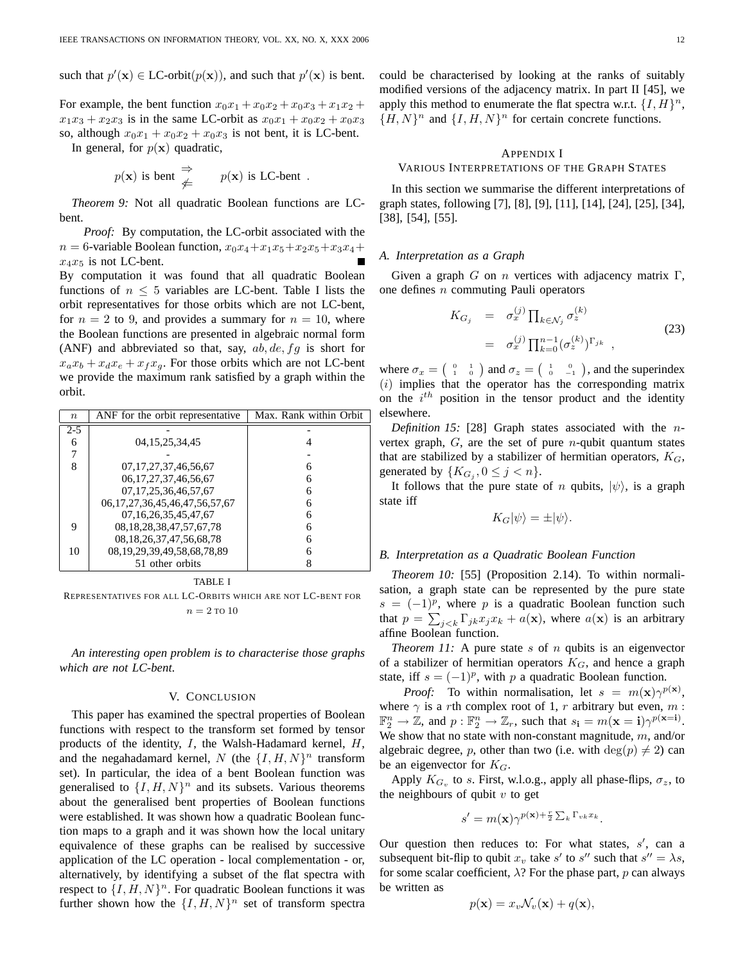For example, the bent function  $x_0x_1 + x_0x_2 + x_0x_3 + x_1x_2 +$  $x_1x_3 + x_2x_3$  is in the same LC-orbit as  $x_0x_1 + x_0x_2 + x_0x_3$ so, although  $x_0x_1 + x_0x_2 + x_0x_3$  is not bent, it is LC-bent.

In general, for  $p(x)$  quadratic,

$$
p(\mathbf{x})
$$
 is bent  $\Rightarrow$   $p(\mathbf{x})$  is LC-bent.

*Theorem 9:* Not all quadratic Boolean functions are LCbent.

*Proof:* By computation, the LC-orbit associated with the  $n = 6$ -variable Boolean function,  $x_0x_4 + x_1x_5 + x_2x_5 + x_3x_4 +$  $x_4x_5$  is not LC-bent.

By computation it was found that all quadratic Boolean functions of  $n \leq 5$  variables are LC-bent. Table I lists the orbit representatives for those orbits which are not LC-bent, for  $n = 2$  to 9, and provides a summary for  $n = 10$ , where the Boolean functions are presented in algebraic normal form (ANF) and abbreviated so that, say,  $ab, de, fg$  is short for  $x_a x_b + x_d x_e + x_f x_g$ . For those orbits which are not LC-bent we provide the maximum rank satisfied by a graph within the orbit.

| $\boldsymbol{n}$ | ANF for the orbit representative       | Max. Rank within Orbit |
|------------------|----------------------------------------|------------------------|
| $2 - 5$          |                                        |                        |
| 6                | 04, 15, 25, 34, 45                     |                        |
|                  |                                        |                        |
| 8                | 07, 17, 27, 37, 46, 56, 67             | 6                      |
|                  | 06, 17, 27, 37, 46, 56, 67             | 6                      |
|                  | 07, 17, 25, 36, 46, 57, 67             | 6                      |
|                  | 06, 17, 27, 36, 45, 46, 47, 56, 57, 67 | 6                      |
|                  | 07, 16, 26, 35, 45, 47, 67             | 6                      |
| 9                | 08, 18, 28, 38, 47, 57, 67, 78         | 6                      |
|                  | 08, 18, 26, 37, 47, 56, 68, 78         | 6                      |
| 10               | 08, 19, 29, 39, 49, 58, 68, 78, 89     | h                      |
|                  | 51 other orbits                        |                        |

TABLE I

REPRESENTATIVES FOR ALL LC-ORBITS WHICH ARE NOT LC-BENT FOR  $n = 2$  TO 10

*An interesting open problem is to characterise those graphs which are not LC-bent*.

### V. CONCLUSION

This paper has examined the spectral properties of Boolean functions with respect to the transform set formed by tensor products of the identity,  $I$ , the Walsh-Hadamard kernel,  $H$ , and the negahadamard kernel, N (the  $\{I, H, N\}^n$  transform set). In particular, the idea of a bent Boolean function was generalised to  $\{I, H, N\}^n$  and its subsets. Various theorems about the generalised bent properties of Boolean functions were established. It was shown how a quadratic Boolean function maps to a graph and it was shown how the local unitary equivalence of these graphs can be realised by successive application of the LC operation - local complementation - or, alternatively, by identifying a subset of the flat spectra with respect to  $\{I, H, N\}^n$ . For quadratic Boolean functions it was further shown how the  $\{I, H, N\}^n$  set of transform spectra could be characterised by looking at the ranks of suitably modified versions of the adjacency matrix. In part II [45], we apply this method to enumerate the flat spectra w.r.t.  $\{I, H\}^n$ ,  ${H, N}^n$  and  ${I, H, N}^n$  for certain concrete functions.

### APPENDIX I

# VARIOUS INTERPRETATIONS OF THE GRAPH STATES

In this section we summarise the different interpretations of graph states, following [7], [8], [9], [11], [14], [24], [25], [34], [38], [54], [55].

#### *A. Interpretation as a Graph*

Given a graph G on n vertices with adjacency matrix  $\Gamma$ , one defines n commuting Pauli operators

$$
K_{G_j} = \sigma_x^{(j)} \prod_{k \in \mathcal{N}_j} \sigma_z^{(k)}
$$
  
=  $\sigma_x^{(j)} \prod_{k=0}^{n-1} (\sigma_z^{(k)})^{\Gamma_{jk}}$ , (23)

where  $\sigma_x = \begin{pmatrix} 0 & 1 \\ 1 & 0 \end{pmatrix}$  and  $\sigma_z = \begin{pmatrix} 1 & 0 \\ 0 & -1 \end{pmatrix}$ , and the superindex  $(i)$  implies that the operator has the corresponding matrix on the  $i^{th}$  position in the tensor product and the identity elsewhere.

*Definition 15:* [28] Graph states associated with the nvertex graph,  $G$ , are the set of pure *n*-qubit quantum states that are stabilized by a stabilizer of hermitian operators,  $K_G$ , generated by  $\{K_{G_j}, 0 \le j < n\}.$ 

It follows that the pure state of n qubits,  $|\psi\rangle$ , is a graph state iff

$$
K_G|\psi\rangle = \pm |\psi\rangle.
$$

### *B. Interpretation as a Quadratic Boolean Function*

*Theorem 10:* [55] (Proposition 2.14). To within normalisation, a graph state can be represented by the pure state  $s = (-1)^p$ , where p is a quadratic Boolean function such that  $p = \sum_{j \leq k} \Gamma_{jk} x_j x_k + a(\mathbf{x})$ , where  $a(\mathbf{x})$  is an arbitrary affine Boolean function.

*Theorem 11:* A pure state  $s$  of  $n$  qubits is an eigenvector of a stabilizer of hermitian operators  $K_G$ , and hence a graph state, iff  $s = (-1)^p$ , with p a quadratic Boolean function.

*Proof:* To within normalisation, let  $s = m(\mathbf{x})\gamma^{p(\mathbf{x})}$ , where  $\gamma$  is a rth complex root of 1, r arbitrary but even, m :  $\mathbb{F}_2^n \to \mathbb{Z}$ , and  $p: \mathbb{F}_2^n \to \mathbb{Z}_r$ , such that  $s_i = m(\mathbf{x} = \mathbf{i})\gamma^{p(\mathbf{x} = \mathbf{i})}$ . We show that no state with non-constant magnitude,  $m$ , and/or algebraic degree, p, other than two (i.e. with  $deg(p) \neq 2$ ) can be an eigenvector for  $K_G$ .

Apply  $K_{G_v}$  to s. First, w.l.o.g., apply all phase-flips,  $\sigma_z$ , to the neighbours of qubit  $v$  to get

$$
s' = m(\mathbf{x})\gamma^{p(\mathbf{x}) + \frac{r}{2}\sum_k \Gamma_{vk}x_k}.
$$

Our question then reduces to: For what states,  $s'$ , can a subsequent bit-flip to qubit  $x_v$  take s' to s'' such that  $s'' = \lambda s$ , for some scalar coefficient,  $\lambda$ ? For the phase part, p can always be written as

$$
p(\mathbf{x}) = x_v \mathcal{N}_v(\mathbf{x}) + q(\mathbf{x}),
$$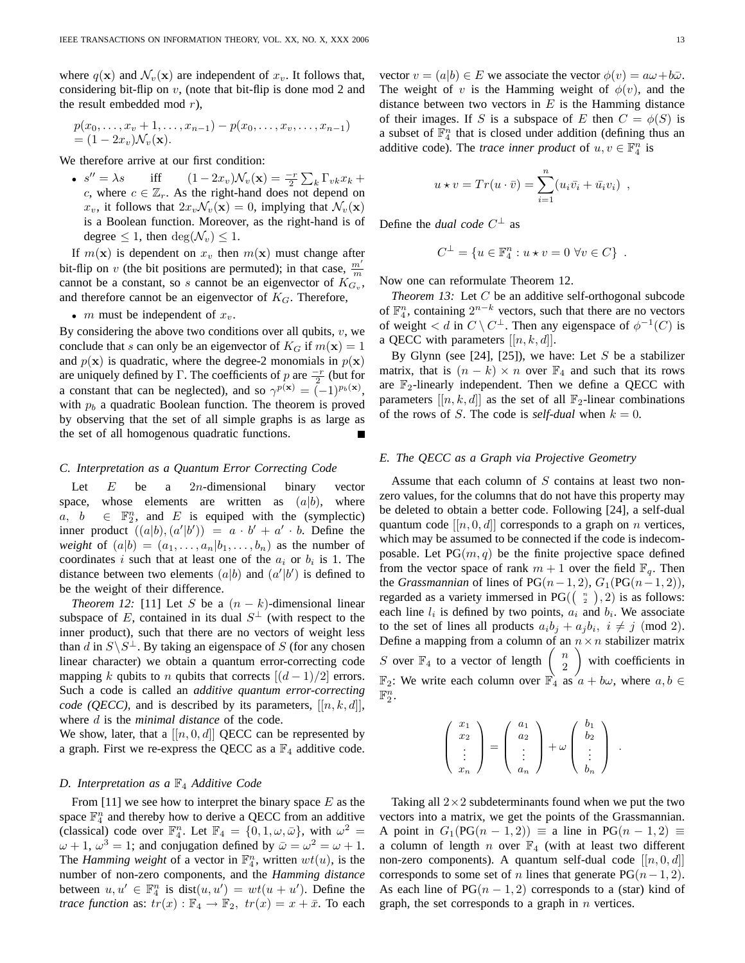where  $q(\mathbf{x})$  and  $\mathcal{N}_v(\mathbf{x})$  are independent of  $x_v$ . It follows that, considering bit-flip on  $v$ , (note that bit-flip is done mod 2 and the result embedded mod  $r$ ),

$$
p(x_0,...,x_v+1,...,x_{n-1}) - p(x_0,...,x_v,...,x_{n-1})
$$
  
=  $(1-2x_v) \mathcal{N}_v(\mathbf{x}).$ 

We therefore arrive at our first condition:

•  $s'' = \lambda s$  $0'' = \lambda s$  iff  $(1 - 2x_v) \mathcal{N}_v(\mathbf{x}) = \frac{-r}{2} \sum_k \Gamma_{vk} x_k +$ c, where  $c \in \mathbb{Z}_r$ . As the right-hand does not depend on  $x_v$ , it follows that  $2x_v\mathcal{N}_v(\mathbf{x})=0$ , implying that  $\mathcal{N}_v(\mathbf{x})$ is a Boolean function. Moreover, as the right-hand is of degree  $\leq 1$ , then  $\deg(\mathcal{N}_v) \leq 1$ .

If  $m(\mathbf{x})$  is dependent on  $x_v$  then  $m(\mathbf{x})$  must change after bit-flip on v (the bit positions are permuted); in that case,  $\frac{m'}{m}$ cannot be a constant, so s cannot be an eigenvector of  $K_{G_v}$ , and therefore cannot be an eigenvector of  $K_G$ . Therefore,

•  $m$  must be independent of  $x_v$ .

By considering the above two conditions over all qubits,  $v$ , we conclude that s can only be an eigenvector of  $K_G$  if  $m(\mathbf{x}) = 1$ and  $p(x)$  is quadratic, where the degree-2 monomials in  $p(x)$ are uniquely defined by Γ. The coefficients of p are  $\frac{-r}{2}$  (but for a constant that can be neglected), and so  $\gamma^{p(\mathbf{x})} = (-1)^{p_b(\mathbf{x})}$ , with  $p_b$  a quadratic Boolean function. The theorem is proved by observing that the set of all simple graphs is as large as the set of all homogenous quadratic functions.

### *C. Interpretation as a Quantum Error Correcting Code*

Let  $E$  be a 2*n*-dimensional binary vector space, whose elements are written as  $(a|b)$ , where  $a, b \in \mathbb{F}_2^n$ , and E is equiped with the (symplectic) inner product  $((a|b), (a'|b')) = a \cdot b' + a' \cdot b$ . Define the *weight* of  $(a|b) = (a_1, \ldots, a_n | b_1, \ldots, b_n)$  as the number of coordinates i such that at least one of the  $a_i$  or  $b_i$  is 1. The distance between two elements  $(a|b)$  and  $(a'|b')$  is defined to be the weight of their difference.

*Theorem 12:* [11] Let S be a  $(n - k)$ -dimensional linear subspace of E, contained in its dual  $S^{\perp}$  (with respect to the inner product), such that there are no vectors of weight less than d in  $S \backslash S^{\perp}$ . By taking an eigenspace of S (for any chosen linear character) we obtain a quantum error-correcting code mapping k qubits to n qubits that corrects  $\left[\frac{d-1}{2}\right]$  errors. Such a code is called an *additive quantum error-correcting code (QECC)*, and is described by its parameters,  $[[n, k, d]]$ , where d is the *minimal distance* of the code.

We show, later, that a  $[[n, 0, d]]$  QECC can be represented by a graph. First we re-express the QECC as a  $\mathbb{F}_4$  additive code.

### *D. Interpretation as a* F<sup>4</sup> *Additive Code*

From [11] we see how to interpret the binary space  $E$  as the space  $\mathbb{F}_4^n$  and thereby how to derive a QECC from an additive (classical) code over  $\mathbb{F}_4^n$ . Let  $\mathbb{F}_4 = \{0, 1, \omega, \bar{\omega}\}\$ , with  $\omega^2 =$  $\omega + 1$ ,  $\omega^3 = 1$ ; and conjugation defined by  $\bar{\omega} = \omega^2 = \omega + 1$ . The *Hamming weight* of a vector in  $\mathbb{F}_4^n$ , written  $wt(u)$ , is the number of non-zero components, and the *Hamming distance* between  $u, u' \in \mathbb{F}_4^n$  is  $dist(u, u') = wt(u + u')$ . Define the *trace function* as:  $tr(x)$ :  $\mathbb{F}_4 \to \mathbb{F}_2$ ,  $tr(x) = x + \bar{x}$ . To each

vector  $v = (a|b) \in E$  we associate the vector  $\phi(v) = a\omega + b\bar{\omega}$ . The weight of v is the Hamming weight of  $\phi(v)$ , and the distance between two vectors in  $E$  is the Hamming distance of their images. If S is a subspace of E then  $C = \phi(S)$  is a subset of  $\mathbb{F}_4^n$  that is closed under addition (defining thus an additive code). The *trace inner product* of  $u, v \in \mathbb{F}_4^n$  is

$$
u * v = Tr(u \cdot \bar{v}) = \sum_{i=1}^{n} (u_i \bar{v_i} + \bar{u_i} v_i) ,
$$

Define the *dual code*  $C^{\perp}$  as

$$
C^{\perp} = \{ u \in \mathbb{F}_4^n : u \star v = 0 \,\,\forall v \in C \} \,.
$$

Now one can reformulate Theorem 12.

*Theorem 13:* Let C be an additive self-orthogonal subcode of  $\mathbb{F}_4^n$ , containing  $2^{n-k}$  vectors, such that there are no vectors of weight  $\langle d \text{ in } C \setminus C^{\perp}$ . Then any eigenspace of  $\phi^{-1}(C)$  is a QECC with parameters  $[[n, k, d]]$ .

By Glynn (see [24], [25]), we have: Let  $S$  be a stabilizer matrix, that is  $(n - k) \times n$  over  $\mathbb{F}_4$  and such that its rows are  $\mathbb{F}_2$ -linearly independent. Then we define a QECC with parameters  $[[n, k, d]]$  as the set of all  $\mathbb{F}_2$ -linear combinations of the rows of S. The code is *self-dual* when  $k = 0$ .

#### *E. The QECC as a Graph via Projective Geometry*

Assume that each column of  $S$  contains at least two nonzero values, for the columns that do not have this property may be deleted to obtain a better code. Following [24], a self-dual quantum code  $[[n, 0, d]]$  corresponds to a graph on n vertices, which may be assumed to be connected if the code is indecomposable. Let  $PG(m, q)$  be the finite projective space defined from the vector space of rank  $m + 1$  over the field  $\mathbb{F}_q$ . Then the *Grassmannian* of lines of  $PG(n-1, 2), G_1(PG(n-1, 2)),$ regarded as a variety immersed in PG( $\binom{n}{2}$ , 2) is as follows: each line  $l_i$  is defined by two points,  $a_i$  and  $b_i$ . We associate to the set of lines all products  $a_i b_j + a_j b_i$ ,  $i \neq j \pmod{2}$ . Define a mapping from a column of an  $n \times n$  stabilizer matrix S over  $\mathbb{F}_4$  to a vector of length  $\begin{pmatrix} n \\ 2 \end{pmatrix}$ 2 with coefficients in  $\mathbb{F}_2$ : We write each column over  $\mathbb{F}_4$  as  $a + b\omega$ , where  $a, b \in$  $\mathbb{F}_2^n$ .

| $x_1$<br>$x_2$ |   | $a_1$<br>$a_2$ |                   | О٢ |  |
|----------------|---|----------------|-------------------|----|--|
| ٠<br>$x_n$     | Ξ | $a_n$          | - 1<br>- $\omega$ |    |  |

Taking all  $2\times 2$  subdeterminants found when we put the two vectors into a matrix, we get the points of the Grassmannian. A point in  $G_1(PG(n-1,2)) \equiv$  a line in  $PG(n-1,2) \equiv$ a column of length n over  $\mathbb{F}_4$  (with at least two different non-zero components). A quantum self-dual code  $[[n, 0, d]]$ corresponds to some set of *n* lines that generate  $PG(n-1, 2)$ . As each line of  $PG(n-1, 2)$  corresponds to a (star) kind of graph, the set corresponds to a graph in  $n$  vertices.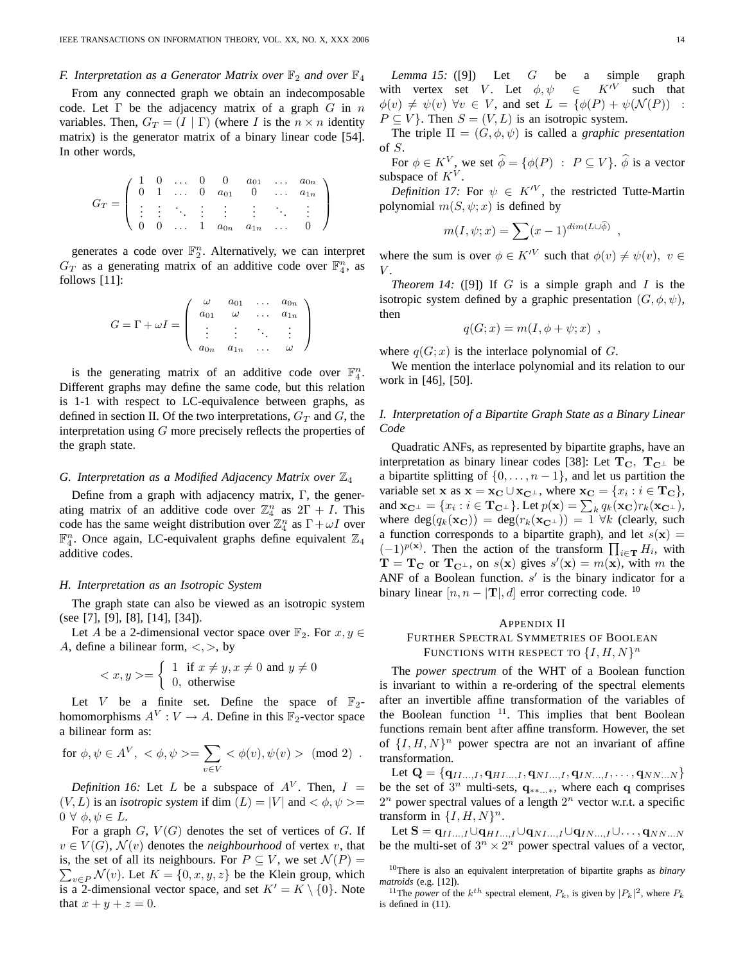### *F. Interpretation as a Generator Matrix over*  $\mathbb{F}_2$  *and over*  $\mathbb{F}_4$

From any connected graph we obtain an indecomposable code. Let  $\Gamma$  be the adjacency matrix of a graph G in n variables. Then,  $G_T = (I | \Gamma)$  (where I is the  $n \times n$  identity matrix) is the generator matrix of a binary linear code [54]. In other words,

$$
G_T = \left( \begin{array}{cccccc} 1 & 0 & \dots & 0 & 0 & a_{01} & \dots & a_{0n} \\ 0 & 1 & \dots & 0 & a_{01} & 0 & \dots & a_{1n} \\ \vdots & \vdots & \ddots & \vdots & \vdots & \vdots & \ddots & \vdots \\ 0 & 0 & \dots & 1 & a_{0n} & a_{1n} & \dots & 0 \end{array} \right)
$$

generates a code over  $\mathbb{F}_2^n$ . Alternatively, we can interpret  $G_T$  as a generating matrix of an additive code over  $\mathbb{F}_4^n$ , as follows [11]:

$$
G = \Gamma + \omega I = \begin{pmatrix} \omega & a_{01} & \dots & a_{0n} \\ a_{01} & \omega & \dots & a_{1n} \\ \vdots & \vdots & \ddots & \vdots \\ a_{0n} & a_{1n} & \dots & \omega \end{pmatrix}
$$

is the generating matrix of an additive code over  $\mathbb{F}_4^n$ . Different graphs may define the same code, but this relation is 1-1 with respect to LC-equivalence between graphs, as defined in section II. Of the two interpretations,  $G_T$  and G, the interpretation using G more precisely reflects the properties of the graph state.

#### *G. Interpretation as a Modified Adjacency Matrix over*  $\mathbb{Z}_4$

Define from a graph with adjacency matrix,  $\Gamma$ , the generating matrix of an additive code over  $\mathbb{Z}_4^n$  as  $2\Gamma + I$ . This code has the same weight distribution over  $\mathbb{Z}_4^n$  as  $\Gamma + \omega I$  over  $\mathbb{F}_4^n$ . Once again, LC-equivalent graphs define equivalent  $\mathbb{Z}_4$ additive codes.

#### *H. Interpretation as an Isotropic System*

The graph state can also be viewed as an isotropic system (see [7], [9], [8], [14], [34]).

Let A be a 2-dimensional vector space over  $\mathbb{F}_2$ . For  $x, y \in$ A, define a bilinear form,  $\langle , \rangle$ , by

$$
\langle x, y \rangle = \begin{cases} 1 & \text{if } x \neq y, x \neq 0 \text{ and } y \neq 0 \\ 0, & \text{otherwise} \end{cases}
$$

Let V be a finite set. Define the space of  $\mathbb{F}_2$ homomorphisms  $A^V: V \to A$ . Define in this  $\mathbb{F}_2$ -vector space a bilinear form as:

$$
\text{for} \ \phi, \psi \in A^V, \ <\phi, \psi>=\sum_{v\in V}<\phi(v), \psi(v)>\ \ (\text{mod}\ 2)\enspace .
$$

*Definition 16:* Let L be a subspace of  $A<sup>V</sup>$ . Then,  $I =$  $(V, L)$  is an *isotropic system* if dim  $(L) = |V|$  and  $\langle \phi, \psi \rangle =$  $0 \forall \phi, \psi \in L.$ 

For a graph  $G, V(G)$  denotes the set of vertices of G. If  $v \in V(G)$ ,  $\mathcal{N}(v)$  denotes the *neighbourhood* of vertex v, that is, the set of all its neighbours. For  $P \subseteq V$ , we set  $\mathcal{N}(P) =$  $\sum_{v \in P} \mathcal{N}(v)$ . Let  $K = \{0, x, y, z\}$  be the Klein group, which is a 2-dimensional vector space, and set  $K' = K \setminus \{0\}$ . Note that  $x + y + z = 0$ .

*Lemma 15:* ([9]) Let G be a simple graph with vertex set V. Let  $\phi, \psi \in K^{\prime V}$  such that  $\phi(v) \neq \psi(v)$   $\forall v \in V$ , and set  $L = {\phi(P) + \psi(N(P))}$  :  $P \subseteq V$ . Then  $S = (V, L)$  is an isotropic system.

The triple  $\Pi = (G, \phi, \psi)$  is called a *graphic presentation* of S.

For  $\phi \in K^V$ , we set  $\widehat{\phi} = {\phi(P) : P \subseteq V}$ .  $\widehat{\phi}$  is a vector subspace of  $K^V$ .

*Definition 17:* For  $\psi \in K^{\prime V}$ , the restricted Tutte-Martin polynomial  $m(S, \psi; x)$  is defined by

$$
m(I, \psi; x) = \sum (x - 1)^{\dim(L \cup \widehat{\phi})}
$$

,

where the sum is over  $\phi \in K^{\prime V}$  such that  $\phi(v) \neq \psi(v)$ ,  $v \in$  $V$ .

*Theorem 14:* ([9]) If  $G$  is a simple graph and  $I$  is the isotropic system defined by a graphic presentation  $(G, \phi, \psi)$ , then

$$
q(G; x) = m(I, \phi + \psi; x) ,
$$

where  $q(G; x)$  is the interlace polynomial of G.

We mention the interlace polynomial and its relation to our work in [46], [50].

# *I. Interpretation of a Bipartite Graph State as a Binary Linear Code*

Quadratic ANFs, as represented by bipartite graphs, have an interpretation as binary linear codes [38]: Let  $T_{C}$ ,  $T_{C^{\perp}}$  be a bipartite splitting of  $\{0, \ldots, n-1\}$ , and let us partition the variable set **x** as  $\mathbf{x} = \mathbf{x_C} \cup \mathbf{x_{C^{\perp}}}$ , where  $\mathbf{x_C} = \{x_i : i \in \mathbf{T_C}\},\$ and  $\mathbf{x}_{\mathbf{C}^{\perp}} = \{x_i : i \in \mathbf{T}_{\mathbf{C}^{\perp}}\}$ . Let  $p(\mathbf{x}) = \sum_k q_k(\mathbf{x_C}) r_k(\mathbf{x_{C^{\perp}}})$ , where  $deg(q_k(\mathbf{x_C})) = deg(r_k(\mathbf{x_{C^{\perp}}})) = 1 \ \forall k$  (clearly, such a function corresponds to a bipartite graph), and let  $s(\mathbf{x}) =$  $(-1)^{p(x)}$ . Then the action of the transform  $\prod_{i \in \mathbf{T}} H_i$ , with  $\mathbf{T} = \mathbf{T_C}$  or  $\mathbf{T_{C^{\perp}}}$ , on  $s(\mathbf{x})$  gives  $s'(\mathbf{x}) = m(\mathbf{x})$ , with m the ANF of a Boolean function.  $s'$  is the binary indicator for a binary linear  $[n, n - |T|, d]$  error correcting code. <sup>10</sup>

# APPENDIX II

# FURTHER SPECTRAL SYMMETRIES OF BOOLEAN FUNCTIONS WITH RESPECT TO  $\{I, H, N\}^n$

The *power spectrum* of the WHT of a Boolean function is invariant to within a re-ordering of the spectral elements after an invertible affine transformation of the variables of the Boolean function  $11$ . This implies that bent Boolean functions remain bent after affine transform. However, the set of  $\{I, H, N\}^n$  power spectra are not an invariant of affine transformation.

Let  $\mathbf{Q} = {\mathbf{q}_{II..., I}, \mathbf{q}_{HI..., I}, \mathbf{q}_{NI..., I}, \mathbf{q}_{IN..., I}, \dots, \mathbf{q}_{NN...N}}$ be the set of  $3^n$  multi-sets,  $q_{**...*}$ , where each q comprises  $2^n$  power spectral values of a length  $2^n$  vector w.r.t. a specific transform in  $\{I, H, N\}^n$ .

Let  $\mathbf{S} = \mathbf{q}_{II...I} \cup \mathbf{q}_{HI...I} \cup \mathbf{q}_{NI} \cup \mathbf{q}_{IN} \dots I \cup \dots$ ,  $\mathbf{q}_{NN} \dots N$ be the multi-set of  $3^n \times 2^n$  power spectral values of a vector,

<sup>10</sup>There is also an equivalent interpretation of bipartite graphs as *binary matroids* (e.g. [12]).

<sup>&</sup>lt;sup>11</sup>The *power* of the  $k^{th}$  spectral element,  $P_k$ , is given by  $|P_k|^2$ , where  $P_k$ is defined in (11).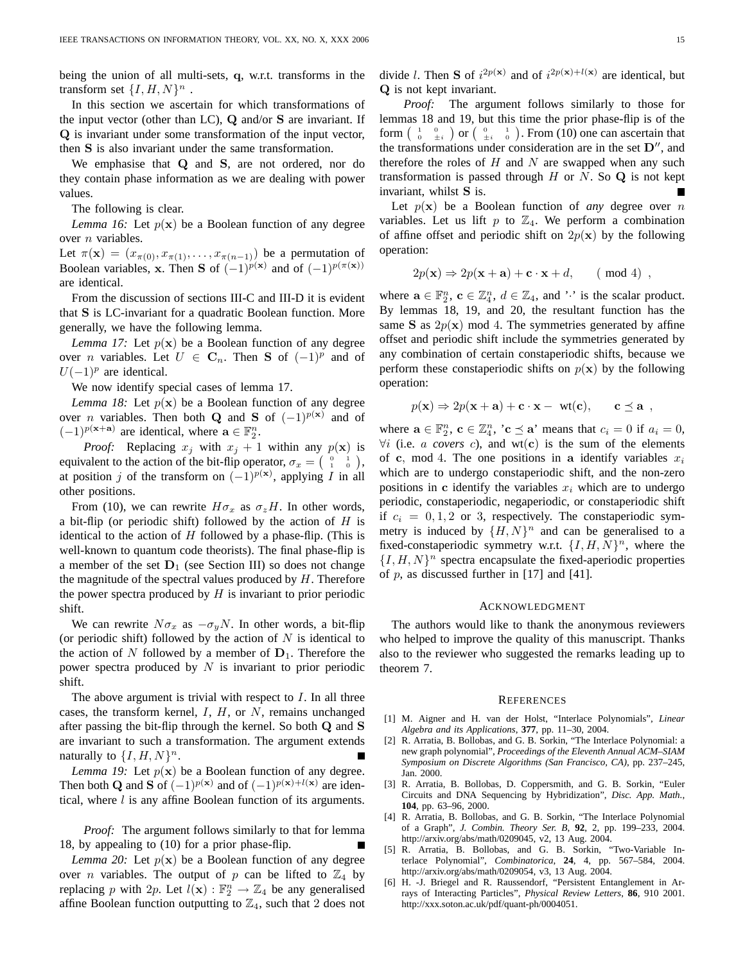being the union of all multi-sets, q, w.r.t. transforms in the transform set  $\{I, H, N\}^n$ .

In this section we ascertain for which transformations of the input vector (other than LC), Q and/or S are invariant. If Q is invariant under some transformation of the input vector, then S is also invariant under the same transformation.

We emphasise that Q and S, are not ordered, nor do they contain phase information as we are dealing with power values.

The following is clear.

*Lemma 16:* Let  $p(x)$  be a Boolean function of any degree over *n* variables.

Let  $\pi(\mathbf{x}) = (x_{\pi(0)}, x_{\pi(1)}, \dots, x_{\pi(n-1)})$  be a permutation of Boolean variables, x. Then S of  $(-1)^{p(x)}$  and of  $(-1)^{p(\pi(x))}$ are identical.

From the discussion of sections III-C and III-D it is evident that S is LC-invariant for a quadratic Boolean function. More generally, we have the following lemma.

*Lemma 17:* Let  $p(x)$  be a Boolean function of any degree over *n* variables. Let  $U \in \mathbb{C}_n$ . Then **S** of  $(-1)^p$  and of  $U(-1)^p$  are identical.

We now identify special cases of lemma 17.

*Lemma 18:* Let  $p(x)$  be a Boolean function of any degree over *n* variables. Then both **Q** and **S** of  $(-1)^{p(x)}$  and of  $(-1)^{p(x+a)}$  are identical, where  $\mathbf{a} \in \mathbb{F}_2^n$ .

*Proof:* Replacing  $x_j$  with  $x_j + 1$  within any  $p(x)$  is equivalent to the action of the bit-flip operator,  $\sigma_x = \begin{pmatrix} 0 & 1 \\ 1 & 0 \end{pmatrix}$ , at position j of the transform on  $(-1)^{p(x)}$ , applying I in all other positions.

From (10), we can rewrite  $H\sigma_x$  as  $\sigma_zH$ . In other words, a bit-flip (or periodic shift) followed by the action of  $H$  is identical to the action of  $H$  followed by a phase-flip. (This is well-known to quantum code theorists). The final phase-flip is a member of the set  $D_1$  (see Section III) so does not change the magnitude of the spectral values produced by  $H$ . Therefore the power spectra produced by  $H$  is invariant to prior periodic shift.

We can rewrite  $N\sigma_x$  as  $-\sigma_y N$ . In other words, a bit-flip (or periodic shift) followed by the action of  $N$  is identical to the action of N followed by a member of  $D_1$ . Therefore the power spectra produced by  $N$  is invariant to prior periodic shift.

The above argument is trivial with respect to  $I$ . In all three cases, the transform kernel,  $I, H$ , or  $N$ , remains unchanged after passing the bit-flip through the kernel. So both Q and S are invariant to such a transformation. The argument extends naturally to  $\{I, H, N\}^n$ .

*Lemma 19:* Let  $p(x)$  be a Boolean function of any degree. Then both Q and S of  $(-1)^{p(x)}$  and of  $(-1)^{p(x)+l(x)}$  are identical, where  $l$  is any affine Boolean function of its arguments.

*Proof:* The argument follows similarly to that for lemma 18, by appealing to (10) for a prior phase-flip.

*Lemma 20:* Let  $p(x)$  be a Boolean function of any degree over *n* variables. The output of *p* can be lifted to  $\mathbb{Z}_4$  by replacing p with 2p. Let  $l(\mathbf{x}) : \mathbb{F}_2^n \to \mathbb{Z}_4$  be any generalised affine Boolean function outputting to  $\mathbb{Z}_4$ , such that 2 does not divide l. Then S of  $i^{2p(x)}$  and of  $i^{2p(x)+l(x)}$  are identical, but Q is not kept invariant.

*Proof:* The argument follows similarly to those for lemmas 18 and 19, but this time the prior phase-flip is of the form  $\begin{pmatrix} 1 & 0 \\ 0 & \pm i \end{pmatrix}$  or  $\begin{pmatrix} 0 & 1 \\ \pm i & 0 \end{pmatrix}$ . From (10) one can ascertain that the transformations under consideration are in the set  $D''$ , and therefore the roles of  $H$  and  $N$  are swapped when any such transformation is passed through  $H$  or  $N$ . So  $Q$  is not kept invariant, whilst S is.

Let  $p(x)$  be a Boolean function of *any* degree over *n* variables. Let us lift p to  $\mathbb{Z}_4$ . We perform a combination of affine offset and periodic shift on  $2p(x)$  by the following operation:

$$
2p(\mathbf{x}) \Rightarrow 2p(\mathbf{x} + \mathbf{a}) + \mathbf{c} \cdot \mathbf{x} + d, \quad (\text{mod } 4)
$$

where  $\mathbf{a} \in \mathbb{F}_2^n$ ,  $\mathbf{c} \in \mathbb{Z}_4^n$ ,  $d \in \mathbb{Z}_4$ , and ':' is the scalar product. By lemmas 18, 19, and 20, the resultant function has the same S as  $2p(x)$  mod 4. The symmetries generated by affine offset and periodic shift include the symmetries generated by any combination of certain constaperiodic shifts, because we perform these constaperiodic shifts on  $p(x)$  by the following operation:

$$
p(\mathbf{x}) \Rightarrow 2p(\mathbf{x} + \mathbf{a}) + \mathbf{c} \cdot \mathbf{x} - \text{wt}(\mathbf{c}), \quad \mathbf{c} \preceq \mathbf{a} ,
$$

where  $\mathbf{a} \in \mathbb{F}_2^n$ ,  $\mathbf{c} \in \mathbb{Z}_4^n$ , ' $\mathbf{c} \preceq \mathbf{a}$ ' means that  $c_i = 0$  if  $a_i = 0$ ,  $\forall i$  (i.e. *a covers c*), and wt(**c**) is the sum of the elements of c, mod 4. The one positions in a identify variables  $x_i$ which are to undergo constaperiodic shift, and the non-zero positions in c identify the variables  $x_i$  which are to undergo periodic, constaperiodic, negaperiodic, or constaperiodic shift if  $c_i = 0, 1, 2$  or 3, respectively. The constaperiodic symmetry is induced by  $\{H, N\}^n$  and can be generalised to a fixed-constaperiodic symmetry w.r.t.  $\{I, H, N\}^n$ , where the  $\{I, H, N\}^n$  spectra encapsulate the fixed-aperiodic properties of  $p$ , as discussed further in [17] and [41].

#### ACKNOWLEDGMENT

The authors would like to thank the anonymous reviewers who helped to improve the quality of this manuscript. Thanks also to the reviewer who suggested the remarks leading up to theorem 7.

#### **REFERENCES**

- [1] M. Aigner and H. van der Holst, "Interlace Polynomials", *Linear Algebra and its Applications*, **377**, pp. 11–30, 2004.
- [2] R. Arratia, B. Bollobas, and G. B. Sorkin, "The Interlace Polynomial: a new graph polynomial", *Proceedings of the Eleventh Annual ACM–SIAM Symposium on Discrete Algorithms (San Francisco, CA)*, pp. 237–245, Jan. 2000.
- [3] R. Arratia, B. Bollobas, D. Coppersmith, and G. B. Sorkin, "Euler Circuits and DNA Sequencing by Hybridization", *Disc. App. Math.*, **104**, pp. 63–96, 2000.
- [4] R. Arratia, B. Bollobas, and G. B. Sorkin, "The Interlace Polynomial of a Graph", *J. Combin. Theory Ser. B*, **92**, 2, pp. 199–233, 2004. http://arxiv.org/abs/math/0209045, v2, 13 Aug. 2004.
- [5] R. Arratia, B. Bollobas, and G. B. Sorkin, "Two-Variable Interlace Polynomial", *Combinatorica*, **24**, 4, pp. 567–584, 2004. http://arxiv.org/abs/math/0209054, v3, 13 Aug. 2004.
- [6] H. -J. Briegel and R. Raussendorf, "Persistent Entanglement in Arrays of Interacting Particles", *Physical Review Letters*, **86**, 910 2001. http://xxx.soton.ac.uk/pdf/quant-ph/0004051.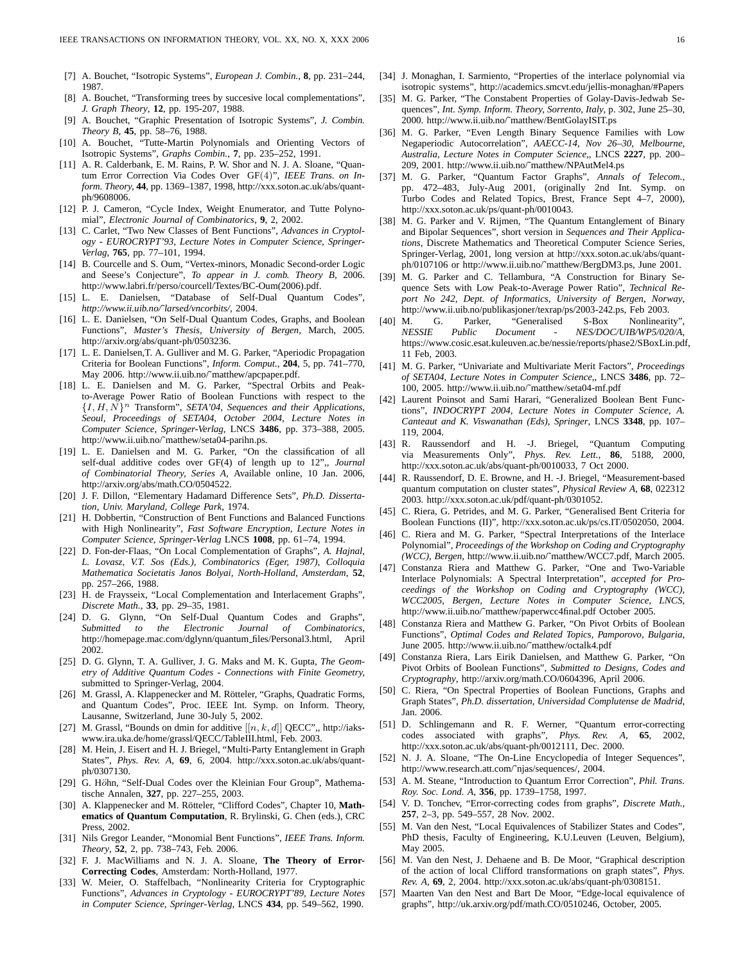- [7] A. Bouchet, "Isotropic Systems", *European J. Combin.*, **8**, pp. 231–244, 1987.
- [8] A. Bouchet, "Transforming trees by succesive local complementations", *J. Graph Theory*, **12**, pp. 195-207, 1988.
- [9] A. Bouchet, "Graphic Presentation of Isotropic Systems", *J. Combin. Theory B*, **45**, pp. 58–76, 1988.
- [10] A. Bouchet, "Tutte-Martin Polynomials and Orienting Vectors of Isotropic Systems", *Graphs Combin.*, **7**, pp. 235–252, 1991.
- [11] A. R. Calderbank, E. M. Rains, P. W. Shor and N. J. A. Sloane, "Quantum Error Correction Via Codes Over GF(4)", *IEEE Trans. on Inform. Theory,* **44**, pp. 1369–1387, 1998, http://xxx.soton.ac.uk/abs/quantph/9608006.
- [12] P. J. Cameron, "Cycle Index, Weight Enumerator, and Tutte Polynomial", *Electronic Journal of Combinatorics*, **9**, 2, 2002.
- [13] C. Carlet, "Two New Classes of Bent Functions", *Advances in Cryptology - EUROCRYPT'93, Lecture Notes in Computer Science, Springer-Verlag*, **765**, pp. 77–101, 1994.
- [14] B. Courcelle and S. Oum, "Vertex-minors, Monadic Second-order Logic and Seese's Conjecture", *To appear in J. comb. Theory B*, 2006. http://www.labri.fr/perso/courcell/Textes/BC-Oum(2006).pdf.
- [15] L. E. Danielsen, "Database of Self-Dual Quantum Codes", *http://www.ii.uib.no/˜larsed/vncorbits/*, 2004.
- [16] L. E. Danielsen, "On Self-Dual Quantum Codes, Graphs, and Boolean Functions", *Master's Thesis, University of Bergen*, March, 2005. http://arxiv.org/abs/quant-ph/0503236.
- [17] L. E. Danielsen, T. A. Gulliver and M. G. Parker, "Aperiodic Propagation Criteria for Boolean Functions", *Inform. Comput.*, **204**, 5, pp. 741–770, May 2006. http://www.ii.uib.no/~matthew/apcpaper.pdf.
- [18] L. E. Danielsen and M. G. Parker, "Spectral Orbits and Peakto-Average Power Ratio of Boolean Functions with respect to the  ${I, H, N}^n$  Transform", *SETA'04, Sequences and their Applications, Seoul, Proceedings of SETA04, October 2004, Lecture Notes in Computer Science, Springer-Verlag*, LNCS **3486**, pp. 373–388, 2005. http://www.ii.uib.no/˜matthew/seta04-parihn.ps.
- [19] L. E. Danielsen and M. G. Parker, "On the classification of all self-dual additive codes over GF(4) of length up to 12",, *Journal of Combinatorial Theory, Series A*, Available online, 10 Jan. 2006, http://arxiv.org/abs/math.CO/0504522.
- [20] J. F. Dillon, "Elementary Hadamard Difference Sets", *Ph.D. Dissertation, Univ. Maryland, College Park*, 1974.
- [21] H. Dobbertin, "Construction of Bent Functions and Balanced Functions with High Nonlinearity", *Fast Software Encryption, Lecture Notes in Computer Science, Springer-Verlag* LNCS **1008**, pp. 61–74, 1994.
- [22] D. Fon-der-Flaas, "On Local Complementation of Graphs", *A. Hajnal, L. Lovasz, V.T. Sos (Eds.), Combinatorics (Eger, 1987), Colloquia Mathematica Societatis Janos Bolyai, North-Holland, Amsterdam*, **52**, pp. 257–266, 1988.
- [23] H. de Fraysseix, "Local Complementation and Interlacement Graphs", *Discrete Math.*, **33**, pp. 29–35, 1981.
- [24] D. G. Glynn, "On Self-Dual Quantum Codes and Graphs", *Submitted to the Electronic Journal of Combinatorics*, http://homepage.mac.com/dglynn/quantum files/Personal3.html, April 2002.
- [25] D. G. Glynn, T. A. Gulliver, J. G. Maks and M. K. Gupta, *The Geometry of Additive Quantum Codes - Connections with Finite Geometry,* submitted to Springer-Verlag, 2004.
- [26] M. Grassl, A. Klappenecker and M. Rötteler, "Graphs, Quadratic Forms, and Quantum Codes", Proc. IEEE Int. Symp. on Inform. Theory, Lausanne, Switzerland, June 30-July 5, 2002.
- [27] M. Grassl, "Bounds on dmin for additive  $[[n, k, d]]$  QECC", http://iakswww.ira.uka.de/home/grassl/QECC/TableIII.html, Feb. 2003.
- [28] M. Hein, J. Eisert and H. J. Briegel, "Multi-Party Entanglement in Graph States", *Phys. Rev. A*, **69**, 6, 2004. http://xxx.soton.ac.uk/abs/quantph/0307130.
- [29] G. Höhn, "Self-Dual Codes over the Kleinian Four Group", Mathematische Annalen, **327**, pp. 227–255, 2003.
- [30] A. Klappenecker and M. Rötteler, "Clifford Codes", Chapter 10, Math**ematics of Quantum Computation**, R. Brylinski, G. Chen (eds.), CRC Press, 2002.
- [31] Nils Gregor Leander, "Monomial Bent Functions", *IEEE Trans. Inform. Theory*, **52**, 2, pp. 738–743, Feb. 2006.
- [32] F. J. MacWilliams and N. J. A. Sloane, **The Theory of Error-Correcting Codes**, Amsterdam: North-Holland, 1977.
- [33] W. Meier, O. Staffelbach, "Nonlinearity Criteria for Cryptographic Functions", *Advances in Cryptology - EUROCRYPT'89, Lecture Notes in Computer Science, Springer-Verlag*, LNCS **434**, pp. 549–562, 1990.
- [34] J. Monaghan, I. Sarmiento, "Properties of the interlace polynomial via isotropic systems", http://academics.smcvt.edu/jellis-monaghan/#Papers
- [35] M. G. Parker, "The Constabent Properties of Golay-Davis-Jedwab Sequences", *Int. Symp. Inform. Theory, Sorrento, Italy*, p. 302, June 25–30, 2000. http://www.ii.uib.no/˜matthew/BentGolayISIT.ps
- [36] M. G. Parker, "Even Length Binary Sequence Families with Low Negaperiodic Autocorrelation", *AAECC-14, Nov 26–30, Melbourne, Australia, Lecture Notes in Computer Science,*, LNCS **2227**, pp. 200– 209, 2001. http://www.ii.uib.no/˜matthew/NPAutMel4.ps
- [37] M. G. Parker, "Quantum Factor Graphs", *Annals of Telecom.*, pp. 472–483, July-Aug 2001, (originally 2nd Int. Symp. on Turbo Codes and Related Topics, Brest, France Sept 4–7, 2000), http://xxx.soton.ac.uk/ps/quant-ph/0010043.
- [38] M. G. Parker and V. Rijmen, "The Quantum Entanglement of Binary and Bipolar Sequences", short version in *Sequences and Their Applications*, Discrete Mathematics and Theoretical Computer Science Series, Springer-Verlag, 2001, long version at http://xxx.soton.ac.uk/abs/quantph/0107106 or http://www.ii.uib.no/˜matthew/BergDM3.ps, June 2001.
- [39] M. G. Parker and C. Tellambura, "A Construction for Binary Sequence Sets with Low Peak-to-Average Power Ratio", *Technical Report No 242, Dept. of Informatics, University of Bergen, Norway*, http://www.ii.uib.no/publikasjoner/texrap/ps/2003-242.ps, Feb 2003.
- [40] M. G. Parker, "Generalised S-Box Nonlinearity", *NESSIE Public Document - NES/DOC/UIB/WP5/020/A*, https://www.cosic.esat.kuleuven.ac.be/nessie/reports/phase2/SBoxLin.pdf, 11 Feb, 2003.
- [41] M. G. Parker, "Univariate and Multivariate Merit Factors", *Proceedings of SETA04, Lecture Notes in Computer Science,*, LNCS **3486**, pp. 72– 100, 2005. http://www.ii.uib.no/˜matthew/seta04-mf.pdf
- [42] Laurent Poinsot and Sami Harari, "Generalized Boolean Bent Functions", *INDOCRYPT 2004, Lecture Notes in Computer Science, A. Canteaut and K. Viswanathan (Eds), Springer*, LNCS **3348**, pp. 107– 119, 2004.
- [43] R. Raussendorf and H. -J. Briegel, "Quantum Computing via Measurements Only", *Phys. Rev. Lett.*, **86**, 5188, 2000, http://xxx.soton.ac.uk/abs/quant-ph/0010033, 7 Oct 2000.
- [44] R. Raussendorf, D. E. Browne, and H. -J. Briegel, "Measurement-based quantum computation on cluster states", *Physical Review A*, **68**, 022312 2003. http://xxx.soton.ac.uk/pdf/quant-ph/0301052.
- [45] C. Riera, G. Petrides, and M. G. Parker, "Generalised Bent Criteria for Boolean Functions (II)", http://xxx.soton.ac.uk/ps/cs.IT/0502050, 2004.
- [46] C. Riera and M. G. Parker, "Spectral Interpretations of the Interlace Polynomial", *Proceedings of the Workshop on Coding and Cryptography (WCC), Bergen,* http://www.ii.uib.no/˜matthew/WCC7.pdf, March 2005.
- [47] Constanza Riera and Matthew G. Parker, "One and Two-Variable Interlace Polynomials: A Spectral Interpretation", *accepted for Proceedings of the Workshop on Coding and Cryptography (WCC), WCC2005, Bergen, Lecture Notes in Computer Science, LNCS*, http://www.ii.uib.no/~matthew/paperwcc4final.pdf October 2005.
- [48] Constanza Riera and Matthew G. Parker, "On Pivot Orbits of Boolean Functions", *Optimal Codes and Related Topics, Pamporovo, Bulgaria*, June 2005. http://www.ii.uib.no/˜matthew/octalk4.pdf
- [49] Constanza Riera, Lars Eirik Danielsen, and Matthew G. Parker, "On Pivot Orbits of Boolean Functions", *Submitted to Designs, Codes and Cryptography*, http://arxiv.org/math.CO/0604396, April 2006.
- [50] C. Riera, "On Spectral Properties of Boolean Functions, Graphs and Graph States", *Ph.D. dissertation, Universidad Complutense de Madrid*, Jan. 2006.
- [51] D. Schlingemann and R. F. Werner, "Quantum error-correcting codes associated with graphs", *Phys. Rev. A*, **65**, 2002, http://xxx.soton.ac.uk/abs/quant-ph/0012111, Dec. 2000.
- [52] N. J. A. Sloane, "The On-Line Encyclopedia of Integer Sequences", http://www.research.att.com/˜njas/sequences/, 2004.
- [53] A. M. Steane, "Introduction to Quantum Error Correction", *Phil. Trans. Roy. Soc. Lond. A*, **356**, pp. 1739–1758, 1997.
- [54] V. D. Tonchev, "Error-correcting codes from graphs", *Discrete Math.*, **257**, 2–3, pp. 549–557, 28 Nov. 2002.
- [55] M. Van den Nest, "Local Equivalences of Stabilizer States and Codes", PhD thesis, Faculty of Engineering, K.U.Leuven (Leuven, Belgium), May 2005.
- [56] M. Van den Nest, J. Dehaene and B. De Moor, "Graphical description of the action of local Clifford transformations on graph states", *Phys. Rev. A*, **69**, 2, 2004. http://xxx.soton.ac.uk/abs/quant-ph/0308151.
- [57] Maarten Van den Nest and Bart De Moor, "Edge-local equivalence of graphs", http://uk.arxiv.org/pdf/math.CO/0510246, October, 2005.